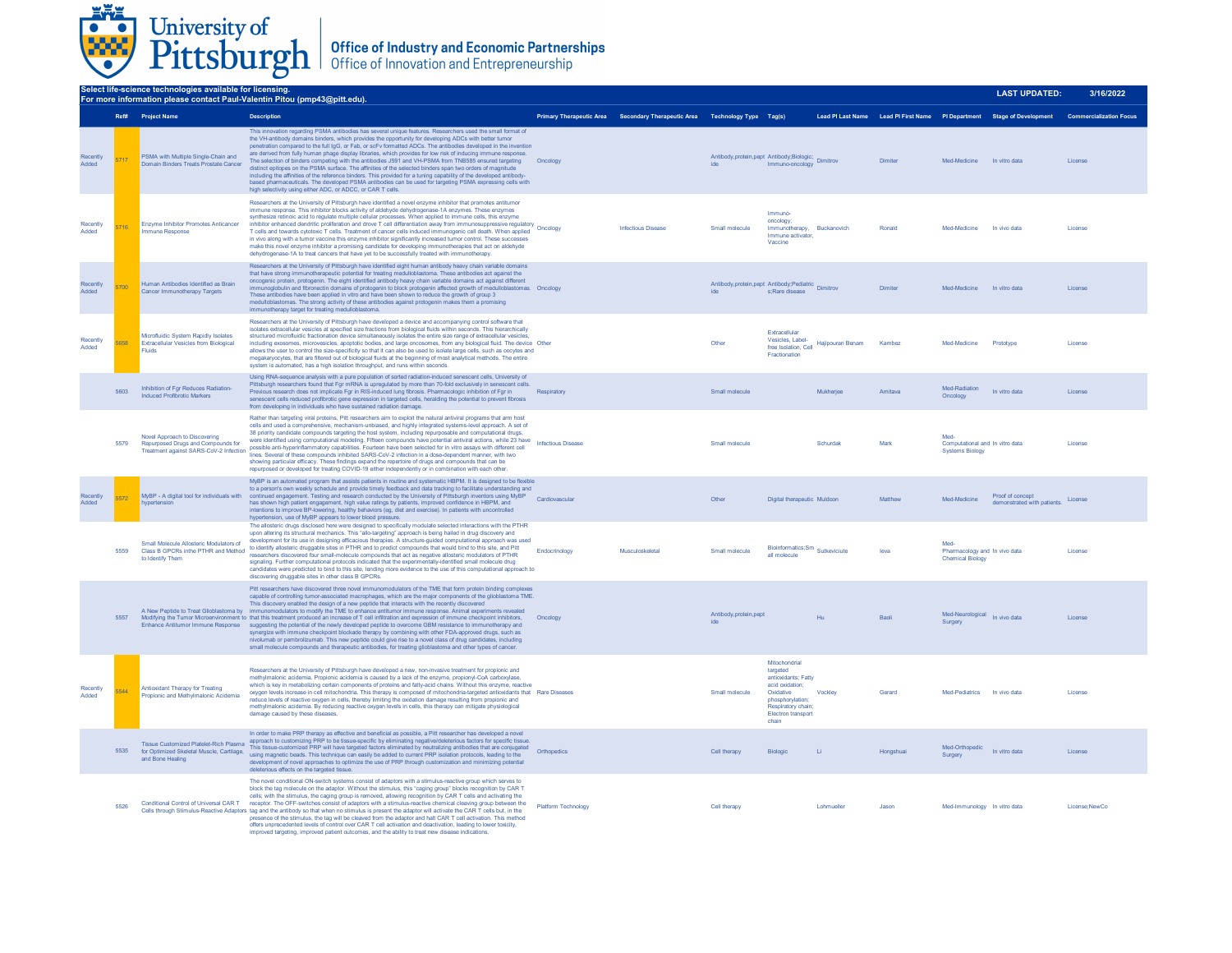

| Select life-science technologies available for licensing.<br>For more information please contact Paul-Valentin Pitou (pmp43@pitt.edu). |      |                                                                                                               |                                                                                                                                                                                                                                                                                                                                                                                                                                                                                                                                                                                                                                                                                                                                                                                                                                                                                                                                                                                                                                                                                                                       |                            |                                                                            |                                                                          |                                                                                                                                                                  |                   |           |                                                                  | <b>LAST UPDATED:</b>                                                                            | 3/16/2022     |
|----------------------------------------------------------------------------------------------------------------------------------------|------|---------------------------------------------------------------------------------------------------------------|-----------------------------------------------------------------------------------------------------------------------------------------------------------------------------------------------------------------------------------------------------------------------------------------------------------------------------------------------------------------------------------------------------------------------------------------------------------------------------------------------------------------------------------------------------------------------------------------------------------------------------------------------------------------------------------------------------------------------------------------------------------------------------------------------------------------------------------------------------------------------------------------------------------------------------------------------------------------------------------------------------------------------------------------------------------------------------------------------------------------------|----------------------------|----------------------------------------------------------------------------|--------------------------------------------------------------------------|------------------------------------------------------------------------------------------------------------------------------------------------------------------|-------------------|-----------|------------------------------------------------------------------|-------------------------------------------------------------------------------------------------|---------------|
|                                                                                                                                        |      | Ref# Project Name                                                                                             | <b>Description</b>                                                                                                                                                                                                                                                                                                                                                                                                                                                                                                                                                                                                                                                                                                                                                                                                                                                                                                                                                                                                                                                                                                    |                            | Primary Therapeutic Area Secondary Therapeutic Area Technology Type Tag(s) |                                                                          |                                                                                                                                                                  |                   |           |                                                                  | Lead PI Last Name Lead PI First Name PI Department Stage of Development Commercialization Focus |               |
| Recently<br>Added                                                                                                                      |      | PSMA with Multiple Single-Chain and<br>Domain Binders Treats Prostate Cancer                                  | This innovation regarding PSMA antibodies has several unique features. Researchers used the small format of<br>the VH-antibody domains binders, which provides the opportunity for developing ADCs with better tumor<br>penetration compared to the full IgG, or Fab, or scFv formatted ADCs. The antibodies developed in the invention<br>are derived from fully human phage display libraries, which provides for low risk of inducing immune response.<br>The selection of binders competing with the antibodies J591 and VH-PSMA from TNB585 ensured targeting<br>distinct enitones on the PSMA surface. The affinities of the selected binders span two orders of magnitude<br>including the affinities of the reference binders. This provided for a tuning capability of the developed antibody-<br>based pharmaceuticals. The developed PSMA antibodies can be used for targeting PSMA expressing cells with<br>high selectivity using either ADC, or ADCC, or CAR T cells.                                                                                                                                   | Oncology                   |                                                                            | Antibody,protein,pept Antibody;Biologic; Dimitrov<br>ide Immuno-oncology |                                                                                                                                                                  |                   | Dimiter   | Med-Medicine In vitro data                                       |                                                                                                 | License       |
| Recently<br>Added                                                                                                                      |      | Enzyme Inhibitor Promotes Anticancer<br>Immune Response                                                       | Researchers at the University of Pittsburgh have identified a novel enzyme inhibitor that promotes antitumor<br>immune response. This inhibitor blocks activity of aldehyde dehydrogenase-1A enzymes. These enzymes<br>synthesize retinoic acid to regulate multiple cellular processes. When applied to immune cells, this enzyme<br>inhibitor enhanced dendritic proliferation and drove T cell differentiation away from immunosuppressive regulatory<br>inhibitor enhanced dendritic proliferation and drove T cell differentiation away from immunosuppressive reg<br>T cells and towards cytotoxic T cells. Treatment of cancer cells induced immunogenic cell death. When applied<br>in vivo along with a tumor vaccine this enzyme inhibitor significantly increased tumor control. These successes<br>make this novel enzyme inhibitor a promising candidate for developing immunotherapies that act on aldehyde<br>dehydrogenase-1A to treat cancers that have yet to be successfully treated with immunotherapy                                                                                            |                            | <b>Infectious Disease</b>                                                  | Small molecule                                                           | Immuno-<br>oncology;<br>Immunotherapy, Buckanovich<br>Immune activator.<br>Vaccine                                                                               |                   | Ronald    | Med-Medicine In vivo data                                        |                                                                                                 | License       |
| Recently<br>hebbA                                                                                                                      |      | Human Antibodies Identified as Brain<br>Cancer Immunotherapy Targets                                          | Researchers at the University of Pittsburgh have identified eight human antibody heavy chain variable domains<br>that have strong immunotherapeutic potential for treating medulloblastoma. These antibodies act against the<br>oncogenic protein, protogenin. The eight identified antibody heavy chain variable domains act against different<br>immunoglobulin and fibronectin domains of protogenin to block protogenin affected growth of medulloblastomas. Oncology<br>These antibodies have been applied in vitro and have been shown to reduce the growth of group 3<br>medulloblastomas. The strong activity of these antibodies against protogenin makes them a promising<br>immunotherapy target for treating medulloblastoma.                                                                                                                                                                                                                                                                                                                                                                             |                            |                                                                            | Antibody, protein, pept Antibody, Pediatric Dimitrov<br>ide              | s:Rare disease                                                                                                                                                   |                   | Dimiter   | Med-Medicine In vitro data                                       |                                                                                                 | License       |
| Recently<br>Added                                                                                                                      |      | Microfluidic System Rapidly Isolates<br><b>Extracellular Vesicles from Biological</b><br>Fluids               | Researchers at the University of Pittsburgh have developed a device and accompanying control software that<br>isolates extracellular vesicles at specified size fractions from biological fluids within seconds. This hierarchically<br>structured microfluidic fractionation device simultaneously isolates the entire size range of extracellular vesicles.<br>including exosomes, microvesicles, apoptotic bodies, and large oncosomes, from any biological fluid. The device Other<br>allows the user to control the size-specificity so that it can also be used to isolate large cells, such as oocytes and<br>megakaryocytes, that are filtered out of biological fluids at the beginning of most analytical methods. The entire<br>system is automated, has a high isolation throughput, and runs within seconds.                                                                                                                                                                                                                                                                                             |                            |                                                                            | Other                                                                    | Extracellular<br>Vesicles, Label-<br>free Isolation, Cell<br>Fractionation                                                                                       | Hajipouran Benam  | Kambez    | Med-Medicine                                                     | Prototype                                                                                       | License       |
|                                                                                                                                        | 5603 | Inhibition of Fgr Reduces Radiation-<br>Induced Profibrotic Markers                                           | Using RNA-sequence analysis with a pure population of sorted radiation-induced senescent cells, University of<br>Pittsburgh researchers found that Fgr mRNA is upregulated by more than 70-fold exclusively in senescent cells.<br>Previous research does not implicate Fgr in RIS-induced lung fibrosis. Pharmacologic inhibition of Fgr in<br>senescent cells reduced profibrotic gene expression in targeted cells, heralding the potential to prevent fibrosis<br>from developing in individuals who have sustained radiation damage.                                                                                                                                                                                                                                                                                                                                                                                                                                                                                                                                                                             | Respiratory                |                                                                            | Small molecule                                                           |                                                                                                                                                                  | Mukheriee         | Amitava   | Med-Radiation<br>Oncology                                        | In vitro data                                                                                   | License       |
|                                                                                                                                        | 5579 | Novel Approach to Discovering<br>Repurposed Drugs and Compounds for<br>Treatment against SARS-CoV-2 Infection | Rather than targeting viral proteins, Pitt researchers aim to exploit the natural antiviral programs that arm host<br>cells and used a comprehensive, mechanism-unbiased, and highly integrated systems-level approach. A set of<br>38 priority candidate compounds targeting the host system, including repurposable and computational drugs,<br>of priority candidate computational modeling. Fifteen compounds have potential antiviral actions, while 23 have<br>were identified using computational modeling. Fifteen compounds have potential antiviral actions, while 23 hav<br>possible anti-hyperinflammatory capabilities. Fourteen have been selected for in vitro assays with different cell<br>lines. Several of these compounds inhibited SARS-CoV-2 infection in a dose-dependent manner, with two<br>showing particular efficacy. These findings expand the repertoire of drugs and compounds that can be<br>repurposed or developed for treating COVID-19 either independently or in combination with each other.                                                                                    |                            |                                                                            | Small molecule                                                           |                                                                                                                                                                  | Schurdak          | Mark      | Med<br>Computational and In vitro data<br><b>Systems Biology</b> |                                                                                                 | License       |
| Recently<br>hebbA                                                                                                                      | 5572 | MyBP - A digital tool for individuals with<br>hypertension                                                    | MyBP is an automated program that assists patients in routine and systematic HBPM. It is designed to be flexible<br>to a person's own weekly schedule and provide timely feedback and data tracking to facilitate understanding and<br>continued engagement. Testing and research conducted by the University of Pittsburgh inventors using MyBP<br>has shown high patient engagement, high value ratings by patients, improved confidence in HBPM, and<br>intentions to improve BP-lowering, healthy behaviors (eg, diet and exercise). In patients with uncontrolled<br>hypertension, use of MyBP appears to lower blood pressure.                                                                                                                                                                                                                                                                                                                                                                                                                                                                                  | Cardiovascular             |                                                                            | Other                                                                    | Digital therapeutic Muldoon                                                                                                                                      |                   | Matthew   | Med-Medicine                                                     | Proof of concept<br>demonstrated with patients.                                                 | License       |
|                                                                                                                                        | 5559 | Small Molecule Allosteric Modulators of<br>Class B GPCRs inthe PTHR and Method<br>to Identify Them            | The allosteric drugs disclosed here were designed to specifically modulate selected interactions with the PTHR<br>upon altering its structural mechanics. This "allo-targeting" approach is being hailed in drug discovery and<br>development for its use in designing efficacious therapies. A structure-guided computational approach was used<br>to identify allosteric druggable sites in PTHR and to predict compounds that would bind to this site, and Pitt<br>researchers discovered four small-molecule compounds that act as negative allosteric modulators of PTHR<br>signaling. Further computational protocols indicated that the experimentally-identified small molecule drug<br>candidates were predicted to bind to this site, lending more evidence to the use of this computational approach to<br>discovering druggable sites in other class B GPCRs                                                                                                                                                                                                                                              | Endocrinology              | Museuloskeletal                                                            | Small molecule                                                           | Bioinformatics; Sm Sutkeviciute<br>all molecule                                                                                                                  |                   | leva      | Med<br>Pharmacology and In vivo data<br><b>Chemical Biology</b>  |                                                                                                 | License       |
|                                                                                                                                        | 5557 |                                                                                                               | Pitt researchers have discovered three novel immunomodulators of the TME that form protein binding comp<br>capable of controlling tumor-associated macrophages, which are the major components of the glioblastoma TME.<br>This discovery enabled the design of a new peptide that interacts with the recently discovered<br>A New Peptide to Treat Glioblastoma by immunomodulators to modify the TME to enhance antitumor immune response. Animal experiments revealed<br>Modifying the Tumor Microenvironment to that this treatment produced an increase of T cell infiltration and expression of immune checkpoint inhibitors.<br>Enhance Antitumor Immune Response suggesting the potential of the newly developed peptide to overcome GBM resistance to immunotherapy and<br>synergize with immune checkpoint blockade therapy by combining with other FDA-approved drugs, such as<br>nivolumab or pembrolizumab. This new peptide could give rise to a novel class of drug candidates, including<br>small molecule compounds and therapeutic antibodies, for treating glioblastoma and other types of cancer. | Oncology                   |                                                                            | Antibody, protein, pept<br>ide                                           |                                                                                                                                                                  | Hu                | Baoli     | Med-Neurological In vivo data<br>Surgery                         |                                                                                                 | License       |
| Recently<br>Added                                                                                                                      | 5544 | Antioxidant Therany for Treating<br>Propionic and Methylmalonic Acidemia                                      | Researchers at the University of Pittsburgh have developed a new, non-invasive treatment for propionic and<br>methylmalonic acidemia. Propionic acidemia is caused by a lack of the enzyme, propionyl-CoA carboxylase,<br>which is key in metabolizing certain components of proteins and fatty-acid chains. Without this enzyme, reactive<br>oxygen levels increase in cell mitochondria. This therapy is composed of mitochondria-targeted antioxidants that Rare Diseases<br>reduce levels of reactive oxygen in cells, thereby limiting the oxidation damage resulting from propionic and<br>methylmalonic acidemia. By reducing reactive oxygen levels in cells, this therapy can mitigate physiological<br>damage caused by these diseases.                                                                                                                                                                                                                                                                                                                                                                     |                            |                                                                            | Small molecule                                                           | Mitochondrial<br>targeted<br>antioxidants: Fatty<br>acid oxidation;<br>Oxidative<br>phosphorylation;<br>Respiratory chain;<br><b>Electron transport</b><br>chain | Vockley           | Gerard    | Med-Pediatrics In vivo data                                      |                                                                                                 | License       |
|                                                                                                                                        | 5535 | Tissue Customized Platelet-Rich Plasma<br>for Optimized Skeletal Muscle, Cartilage.<br>and Bone Healing       | In order to make PRP therapy as effective and beneficial as possible, a Pitt researcher has developed a novel<br>approach to customizing PRP to be tissue-specific by eliminating negative/deleterious factors for specific tissue.<br>This tissue-customized PRP will have targeted factors eliminated by neutralizing antibodies that are conjugated<br>This tissue-customized PRP will have targeted factors eliminated by neutralizing antibodies that are conjugate<br>using magnetic beads. This technique can easily be added to current PRP isolation protocols, leading to the<br>development of novel approaches to optimize the use of PRP through customization and minimizing potential<br>deleterious effects on the targeted tissue.                                                                                                                                                                                                                                                                                                                                                                   |                            |                                                                            | Cell therapy                                                             | Biologic                                                                                                                                                         | $\pm i$           | Hongshuai | Med-Orthopedic<br>Surgery                                        | In vitro data                                                                                   | License       |
|                                                                                                                                        | 5526 | Conditional Control of Universal CAR T                                                                        | The novel conditional ON-switch systems consist of adaptors with a stimulus-reactive group which serves to<br>block the tag molecule on the adaptor. Without the stimulus, this "caging group" blocks recognition by CAR T<br>cells; with the stimulus, the caging group is removed, allowing recognition by CAR T cells and activating the<br>receptor. The OFF-switches consist of adaptors with a stimulus-reactive chemical cleaving group between the<br>Cells through Stimulus-Reactive Adaptors tag and the antibody so that when no stimulus is present the adaptor will activate the CAR T cells but, in the<br>presence of the stimulus, the tag will be cleaved from the adaptor and halt CAR T cell activation. This method<br>offers unprecedented levels of control over CAR T cell activation and deactivation, leading to lower toxicity,<br>improved targeting, improved patient outcomes, and the ability to treat new disease indications                                                                                                                                                          | <b>Platform Technology</b> |                                                                            | Cell therapy                                                             |                                                                                                                                                                  | <b>Lohmueller</b> | .lason    | Med-Immunology In vitro data                                     |                                                                                                 | License:NewCo |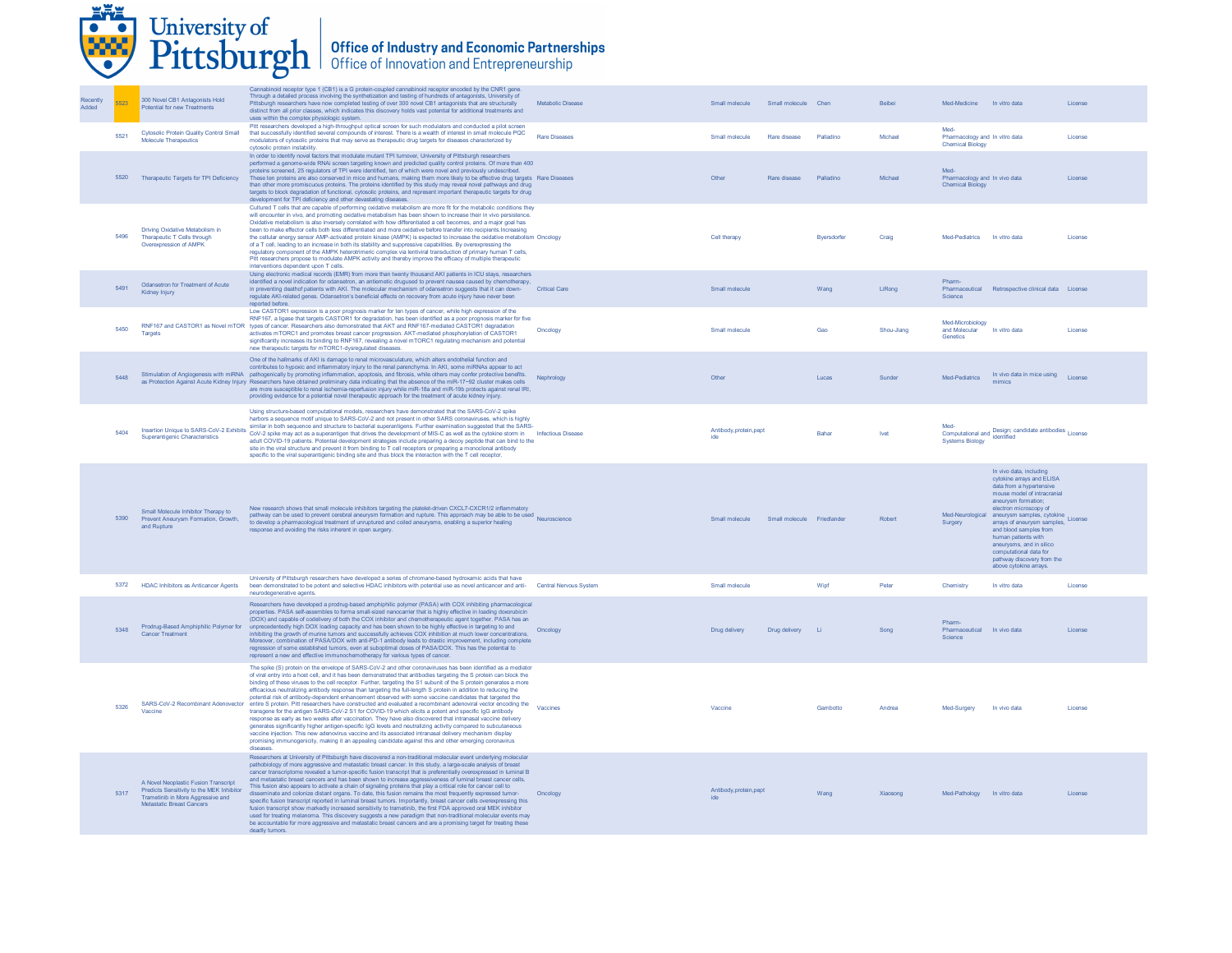|                   |      | University of                                                                                                                                       | Pittsburgh   Office of Industry and Economic Partnerships                                                                                                                                                                                                                                                                                                                                                                                                                                                                                                                                                                                                                                                                                                                                                                                                                                                                                                                                                                                                                                                                                                                                                                                                                                                                          |                      |                                           |                     |            |                                                                                                                                                                                                                                                                                                                                                                                                                                  |         |
|-------------------|------|-----------------------------------------------------------------------------------------------------------------------------------------------------|------------------------------------------------------------------------------------------------------------------------------------------------------------------------------------------------------------------------------------------------------------------------------------------------------------------------------------------------------------------------------------------------------------------------------------------------------------------------------------------------------------------------------------------------------------------------------------------------------------------------------------------------------------------------------------------------------------------------------------------------------------------------------------------------------------------------------------------------------------------------------------------------------------------------------------------------------------------------------------------------------------------------------------------------------------------------------------------------------------------------------------------------------------------------------------------------------------------------------------------------------------------------------------------------------------------------------------|----------------------|-------------------------------------------|---------------------|------------|----------------------------------------------------------------------------------------------------------------------------------------------------------------------------------------------------------------------------------------------------------------------------------------------------------------------------------------------------------------------------------------------------------------------------------|---------|
| Recently<br>Added |      | 300 Novel CB1 Antagonists Hold<br>Potential for new Treatments                                                                                      | Cannabinoid receptor type 1 (CB1) is a G protein-coupled cannabinoid receptor encoded by the CNR1 gene.<br>Through a detailed process involving the synthetization and testing of hundreds of antagonists, University of<br>Pittsburgh researchers have now completed testing of over 300 novel CB1 antagonists that are structurally<br>distinct from all prior classes, which indicates this discovery holds vast potential for additional treatments and<br>uses within the complex physiologic system.                                                                                                                                                                                                                                                                                                                                                                                                                                                                                                                                                                                                                                                                                                                                                                                                                         | Metabolic Disease    | Small molecule                            | Small molecule Chen | Beibei     | Med-Medicine In vitro data                                                                                                                                                                                                                                                                                                                                                                                                       | License |
|                   | 5521 | <b>Cytosolic Protein Quality Control Small</b><br>Molecule Therapeutics                                                                             | Pitt researchers developed a high-throughput optical screen for such modulators and conducted a pilot screen<br>that successfully identified several compounds of interest. There is a wealth of interest in small molecule PQC<br>modulators of cytosolic proteins that may serve as therapeutic drug targets for diseases characterized by<br>cytosolic protein instability.                                                                                                                                                                                                                                                                                                                                                                                                                                                                                                                                                                                                                                                                                                                                                                                                                                                                                                                                                     | <b>Rare Diseases</b> | Small molecule<br>Rare disease            | Palladino           | Michael    | Med-<br>Pharmacology and In vitro data<br><b>Chemical Biology</b>                                                                                                                                                                                                                                                                                                                                                                | License |
|                   | 5520 | Therapeutic Targets for TPI Deficiency                                                                                                              | In order to identify novel factors that modulate mutant TPI turnover, University of Pittsburgh researchers<br>performed a genome-wide RNAi screen targeting known and predicted quality control proteins. Of more than 400<br>proteins screened, 25 regulators of TPI were identified, ten of which were novel and previously undescribed.<br>These ten proteins are also conserved in mice and humans, making them more likely to be effective drug targets Rare Diseases<br>than other more promiscuous proteins. The proteins identified by this study may reveal novel pathways and drug<br>targets to block degradation of functional, cytosolic proteins, and represent important therapeutic targets for drug<br>development for TPI deficiency and other devastating diseases.                                                                                                                                                                                                                                                                                                                                                                                                                                                                                                                                             |                      | Other<br>Rare disease                     | Palladino           | Michael    | Pharmacology and In vivo data<br><b>Chemical Biology</b>                                                                                                                                                                                                                                                                                                                                                                         | License |
|                   | 5496 | Driving Oxidative Metabolism in<br>Therapeutic T Cells through<br>Overexpression of AMPK                                                            | Cultured T cells that are capable of performing oxidative metabolism are more fit for the metabolic conditions they<br>will encounter in vivo, and promoting oxidative metabolism has been shown to increase their in vivo persistence.<br>Oxidative metabolism is also inversely correlated with how differentiated a cell becomes, and a major goal has<br>been to make effector cells both less differentiated and more oxidative before transfer into recipients. Increasing<br>the cellular energy sensor AMP-activated protein kinase (AMPK) is expected to increase the oxidative metabolism Oncology<br>of a T cell, leading to an increase in both its stability and suppressive capabilities. By overexpressing the<br>regulatory component of the AMPK heterotrimeric complex via lentiviral transduction of primary human T cells,<br>Pitt researchers propose to modulate AMPK activity and thereby improve the efficacy of multiple therapeutic<br>interventions dependent upon T cells                                                                                                                                                                                                                                                                                                                              |                      | Cell therapy                              | Bversdorfer         | Craig      | Med-Pediatrics In vitro data                                                                                                                                                                                                                                                                                                                                                                                                     | License |
|                   | 5491 | Odansetron for Treatment of Acute<br>Kidney Injury                                                                                                  | Using electronic medical records (EMR) from more than twenty thousand AKI patients in ICU stays, researchers<br>identified a novel indication for odansetron, an antiemetic drugused to prevent nausea caused by chemotherapy,<br>in preventing deathof patients with AKI. The molecular mechanism of odansetron suggests that it can down-<br>regulate AKI-related genes. Odansetron's beneficial effects on recovery from acute injury have never been<br>reported before.                                                                                                                                                                                                                                                                                                                                                                                                                                                                                                                                                                                                                                                                                                                                                                                                                                                       | <b>Critical Care</b> | Small molecule                            | Wang                | LiRong     | Pharm<br>Retrospective clinical data License<br>Pharmaceutical<br>Science                                                                                                                                                                                                                                                                                                                                                        |         |
|                   | 5450 | Targets                                                                                                                                             | Low CASTOR1 expression is a poor prognosis marker for ten types of cancer, while high expression of the<br>RNF167, a ligase that targets CASTOR1 for degradation, has been identified as a poor prognosis marker for five<br>RNF167 and CASTOR1 as Novel mTOR types of cancer. Researchers also demonstrated that AKT and RNF167-mediated CASTOR1 degradation<br>activates mTORC1 and promotes breast cancer progression. AKT-mediated phosphorylation of CASTOR1<br>significantly increases its binding to RNF167, revealing a novel mTORC1 regulating mechanism and potential<br>new therapeutic targets for mTORC1-dysregulated diseases                                                                                                                                                                                                                                                                                                                                                                                                                                                                                                                                                                                                                                                                                        | Oncology             | Small molecule                            | Gao                 | Shou-Jiang | Med-Microbiology<br>and Molecular<br>In vitro data<br>Genetics                                                                                                                                                                                                                                                                                                                                                                   | License |
|                   | 5448 |                                                                                                                                                     | One of the hallmarks of AKI is damage to renal microvasculature, which alters endothelial function and<br>contributes to hypoxic and inflammatory injury to the renal parenchyma. In AKI, some miRNAs appear to act<br>Stimulation of Angiogenesis with miRNA pathogenically by promoting inflammation, apoptosis, and fibrosis, while others may confer protective benefits.<br>as Protection Against Acute Kidney Injury Researchers have obtained preliminary data indicating that the absence of the miR-17~92 cluster makes cells<br>are more susceptible to renal ischemia-reperfusion injury while miR-18a and miR-19b protects against renal IRI,<br>providing evidence for a potential novel therapeutic approach for the treatment of acute kidney injury.                                                                                                                                                                                                                                                                                                                                                                                                                                                                                                                                                               | Nephrology           | Other                                     | Lucas               | Sunder     | In vivo data in mice using License<br>Med-Pediatrics<br>mimics                                                                                                                                                                                                                                                                                                                                                                   |         |
|                   | 5404 | Insertion Unique to SARS-CoV-2 Exhibits<br>Superantigenic Characteristics                                                                           | Using structure-based computational models, researchers have demonstrated that the SARS-CoV-2 spike<br>harbors a sequence motif unique to SARS-CoV-2 and not present in other SARS coronaviruses, which is highly<br>similar in both sequence and structure to bacterial superantigens. Further examination suggested that the SARS-<br>CoV-2 spike may act as a superantigen that drives the development of MIS-C as well as the cytokine storm in Infectious Disease<br>adult COVID-19 patients. Potential development strategies include preparing a decoy peptide that can bind to the<br>site in the viral structure and prevent it from binding to T cell receptors or preparing a monoclonal antibody<br>specific to the viral superantigenic binding site and thus block the interaction with the T cell receptor.                                                                                                                                                                                                                                                                                                                                                                                                                                                                                                         |                      | Antibody, protein, pept<br>ide            | Bahar               | Ivet       | Med-<br>Computational and Design; candidate antibodies License<br>identified<br><b>Systems Biology</b>                                                                                                                                                                                                                                                                                                                           |         |
|                   | 5390 | Small Molecule Inhibitor Therapy to<br>Prevent Aneurysm Formation, Growth.<br>and Rupture                                                           | New research shows that small molecule inhibitors targeting the platelet-driven CXCL7-CXCR1/2 inflammatory<br>pathway can be used to prevent cerebral aneurysm formation and rupture. This approach may be able to be used Neuroscience<br>to develop a pharmacological treatment of unruptured and coiled aneurysms, enabling a superior healing<br>response and avoiding the risks inherent in open surgery.                                                                                                                                                                                                                                                                                                                                                                                                                                                                                                                                                                                                                                                                                                                                                                                                                                                                                                                     |                      | Small molecule Small molecule Friedlander |                     | Robert     | In vivo data, including<br>cytokine arrays and ELISA<br>data from a hypertensive<br>mouse model of intracranial<br>aneurysm formation;<br>electron microscopy of<br>Med-Neurological aneurysm samples, cytokine License<br>Surgery<br>arrays of aneurysm samples,<br>and blood samples from<br>human patients with<br>aneurysms, and in silico<br>computational data for<br>pathway discovery from the<br>above cytokine arrays. |         |
|                   | 5372 | <b>HDAC Inhibitors as Anticancer Agents</b>                                                                                                         | University of Pittsburgh researchers have developed a series of chromane-based hydroxamic acids that have<br>been demonstrated to be potent and selective HDAC inhibitors with potential use as novel anticancer and anti- Central Nervous System<br>neurodegenerative agents.                                                                                                                                                                                                                                                                                                                                                                                                                                                                                                                                                                                                                                                                                                                                                                                                                                                                                                                                                                                                                                                     |                      | Small molecule                            | Wipf                | Peter      | In vitro data<br>Chemistn                                                                                                                                                                                                                                                                                                                                                                                                        | License |
|                   | 5348 | Prodrug-Based Amphiphilic Polymer for<br><b>Cancer Treatment</b>                                                                                    | Researchers have developed a prodrug-based amphiphilic polymer (PASA) with COX inhibiting pharmacological<br>properties. PASA self-assembles to forma small-sized nanocarrier that is highly effective in loading doxorubicin<br>(DOX) and capable of codelivery of both the COX inhibitor and chemotherapeutic agent together. PASA has an<br>unprecedentedly high DOX loading capacity and has been shown to be highly effective in targeting to and<br>inhibiting the growth of murine tumors and successfully achieves COX inhibition at much lower concentrations.<br>Moreover, combination of PASA/DOX with anti-PD-1 antibody leads to drastic improvement, including complete<br>regression of some established tumors, even at suboptimal doses of PASA/DOX. This has the potential to<br>represent a new and effective immunochemotherapy for various types of cancer.                                                                                                                                                                                                                                                                                                                                                                                                                                                   | Oncology             | Drug delivery                             | Drug delivery Li    | Song       | Pharm-<br>Pharmaceutical In vivo data<br>Science                                                                                                                                                                                                                                                                                                                                                                                 | License |
|                   | 5326 | Vaccine                                                                                                                                             | The spike (S) protein on the envelope of SARS-CoV-2 and other coronaviruses has been identified as a mediator<br>of viral entry into a host cell, and it has been demonstrated that antibodies targeting the S protein can block the<br>binding of these viruses to the cell receptor. Further, targeting the S1 subunit of the S protein generates a more<br>efficacious neutralizing antibody response than targeting the full-length S protein in addition to reducing the<br>potential risk of antibody-dependent enhancement observed with some vaccine candidates that targeted the<br>SARS-CoV-2 Recombinant Adenovector entire S protein. Pitt researchers have constructed and evaluated a recombinant adenoviral vector encoding the Vaccines<br>transgene for the antigen SARS-CoV-2 S1 for COVID-19 which elicits a potent and specific IgG antibody<br>response as early as two weeks after vaccination. They have also discovered that intranasal vaccine delivery<br>generates significantly higher antigen-specific IgG levels and neutralizing activity compared to subcutaneous<br>vaccine injection. This new adenovirus vaccine and its associated intranasal delivery mechanism display<br>promising immunogenicity, making it an appealing candidate against this and other emerging coronavirus<br>diseases |                      | Vaccine                                   | Gambotto            | Andrea     | Med-Surgery<br>In vivo data                                                                                                                                                                                                                                                                                                                                                                                                      | License |
|                   | 5317 | A Novel Neoplastic Fusion Transcript<br>Predicts Sensitivity to the MEK Inhibitor<br>Trametinib in More Aggressive and<br>Metastatic Breast Cancers | Researchers at University of Pittsburgh have discovered a non-traditional molecular event underlying molecular<br>pathobiology of more aggressive and metastatic breast cancer. In this study, a large-scale analysis of breast<br>cancer transcriptome revealed a tumor-specific fusion transcript that is preferentially overexpressed in luminal B<br>and metastatic breast cancers and has been shown to increase aggressiveness of luminal breast cancer cells.<br>This fusion also appears to activate a chain of signaling proteins that play a critical role for cancer cell to<br>disseminate and colonize distant organs. To date, this fusion remains the most frequently expressed tumor-<br>specific fusion transcript reported in luminal breast tumors. Importantly, breast cancer cells overexpressing this<br>fusion transcript show markedly increased sensitivity to trametinib, the first FDA approved oral MEK inhibitor<br>used for treating melanoma. This discovery suggests a new paradigm that non-traditional molecular events may<br>be accountable for more aggressive and metastatic breast cancers and are a promising target for treating these<br>deadly tumors.                                                                                                                                  | Oncology             | Antibody, protein, pept<br>ide            | Wang                | Xiaosong   | Med-Pathology In vitro data                                                                                                                                                                                                                                                                                                                                                                                                      | License |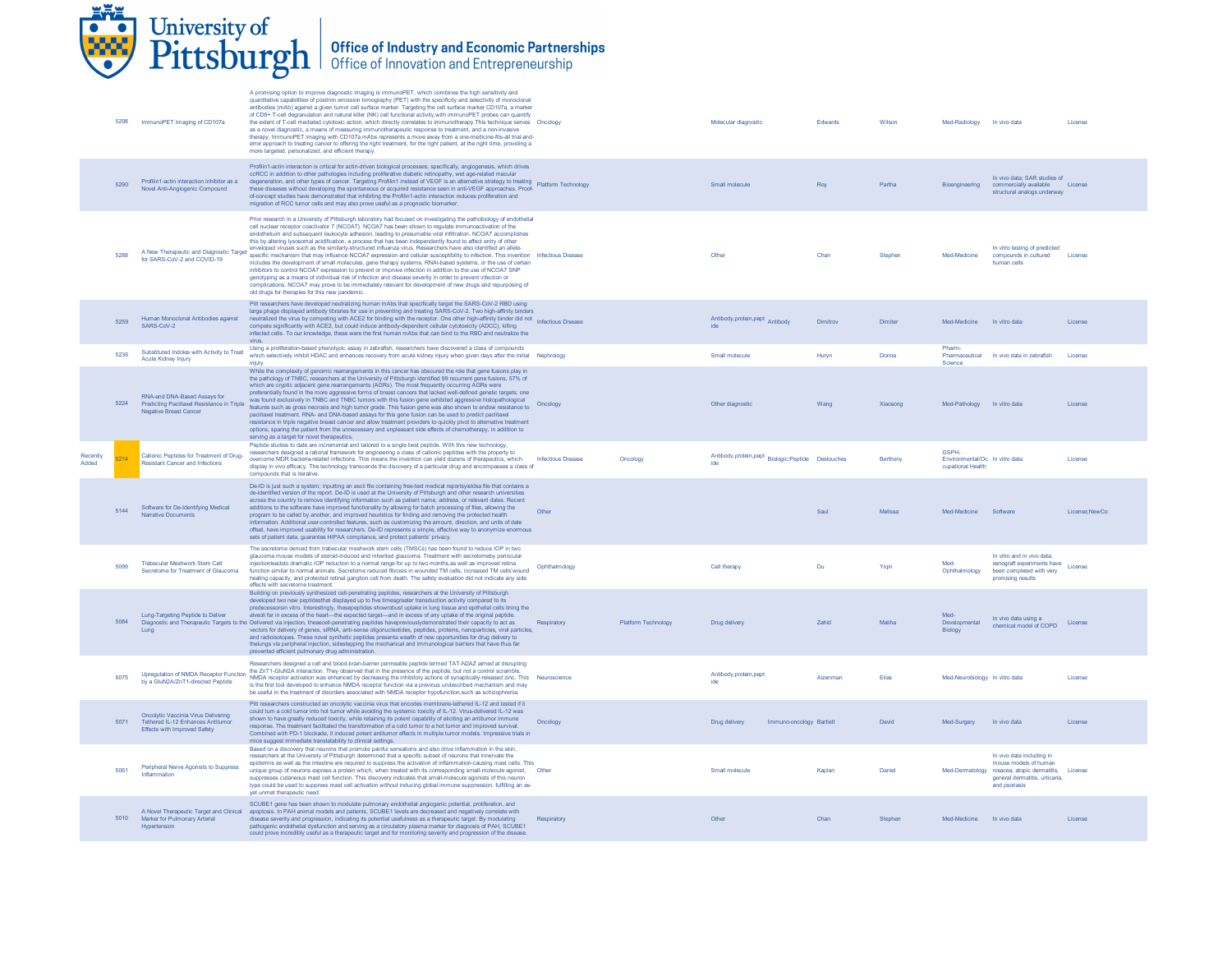# **EAL** University of<br>Pittsburgh | Office of Industry and Economic Partnerships<br>Office of Innovation and Entrepreneurship

|                   |      | 5298 ImmunoPET Imaging of CD107a                                                                                       | A promising option to improve diagnostic imaging is immunoPET, which combines the high sensitivity and<br>quantitative capabilities of positron emission tomography (PET) with the specificity and selectivity of monoclonal<br>antibodies (mAb) against a given tumor cell surface marker. Targeting the cell surface marker CD107a, a marker<br>of CD8+ T-cell degranulation and natural killer (NK) cell functional activity, with immunoPET probes can quantify<br>the extent of T-cell mediated cytotoxic action, which directly correlates to immunotherapy. This technique serves Oncology<br>as a novel diagnostic, a means of measuring immunotherapeutic response to treatment, and a non-invasive<br>therapy. ImmunoPET imaging with CD107a mAbs represents a move away from a one-medicine-fits-all trial-and-<br>error approach to treating cancer to offering the right treatment, for the right patient, at the right time, providing a<br>more targeted, personalized, and efficient therapy.                                                                                                                                                                                                                       |                           |                     | Molecular diagnostic                              | Edwards  | Wilson   | Med-Radiology In vivo data                                          |                                                                                                                                                      | License       |
|-------------------|------|------------------------------------------------------------------------------------------------------------------------|-------------------------------------------------------------------------------------------------------------------------------------------------------------------------------------------------------------------------------------------------------------------------------------------------------------------------------------------------------------------------------------------------------------------------------------------------------------------------------------------------------------------------------------------------------------------------------------------------------------------------------------------------------------------------------------------------------------------------------------------------------------------------------------------------------------------------------------------------------------------------------------------------------------------------------------------------------------------------------------------------------------------------------------------------------------------------------------------------------------------------------------------------------------------------------------------------------------------------------------|---------------------------|---------------------|---------------------------------------------------|----------|----------|---------------------------------------------------------------------|------------------------------------------------------------------------------------------------------------------------------------------------------|---------------|
|                   | 5290 | Profilin1-actin interaction inhibitor as a<br>Novel Anti-Angiogenic Compound                                           | Profilin1-actin interaction is critical for actin-driven biological processes; specifically, angiogenesis, which drives<br>ccRCC in addition to other pathologies including proliferative diabetic retinopathy, wet age-related macular<br>degeneration, and other types of cancer. Targeting Profilin1 instead of VEGF is an alternative strategy to treating<br>these diseases without developing the spontaneous or acquired resistance seen in anti-VEGF approaches. Pro<br>of-concept studies have demonstrated that inhibiting the Profilin1-actin interaction reduces proliferation and<br>migration of RCC tumor cells and may also prove useful as a prognostic biomarker.                                                                                                                                                                                                                                                                                                                                                                                                                                                                                                                                                 |                           |                     | Small molecule                                    | Roy      | Partha   | Bioengineering                                                      | In vivo data: SAR studies of<br>commercially available License<br>structural analogs underway                                                        |               |
|                   |      | A New Therapeutic and Diagnostic Target<br>for SARS-CoV-2 and COVID-19                                                 | Prior research in a University of Pittsburgh laboratory had focused on investigating the pathobiology of endothelial<br>cell nuclear receptor coactivator 7 (NCOA7). NCOA7 has been shown to regulate immunoactivation of the<br>endothelium and subsequent leukocyte adhesion, leading to presumable viral infiltration. NCOA7 accomplishes<br>this by altering lysosomal acidification, a process that has been independently found to affect entry of other<br>enveloped viruses such as the similarly-structured influenza virus. Researchers have also identified an allele-<br>specific mechanism that may influence NCOA7 expression and cellular susceptibility to infection. This invention Infectious Disease<br>includes the development of small molecules, gene therapy systems, RNAi-based systems, or the use of certain<br>inhibitors to control NCOA7 expression to prevent or improve infection in addition to the use of NCOA7 SNP<br>genotyping as a means of individual risk of infection and disease severity in order to prevent infection or<br>complications. NCOA7 may prove to be immediately relevant for development of new drugs and repurposing of<br>old drugs for therapies for this new pandemic. |                           |                     | Other                                             | Chan     | Stephen  | Med-Medicine                                                        | In vitro testing of predicted<br>compounds in cultured<br>human cells                                                                                | License       |
|                   | 5259 | Human Monoclonal Antibodies against<br>SARS-CoV-2                                                                      | Pitt researchers have developed neutralizing human mAbs that specifically target the SARS-CoV-2 RBD using<br>large phage displayed antibody libraries for use in preventing and treating SARS-CoV-2. Two high-affinity binders<br>narge phase unprevent antibody mounted on the community with the receptor. One other high-affinity binder did not Infectious Disease<br>compete significantly with ACE2, but could induce antibody-dependent cellular cytotoxicity (ADCC), killing<br>infected cells. To our knowledge, these were the first human mAbs that can bind to the RBD and neutralize the<br>virus.                                                                                                                                                                                                                                                                                                                                                                                                                                                                                                                                                                                                                     |                           |                     | Antibody, protein, pept Antibody<br>ide           | Dimitrov | Dimiter  | Med-Medicine                                                        | In vitro data                                                                                                                                        | License       |
|                   | 5236 | Substituted Indoles with Activity to Treat<br><b>Acute Kidney Injury</b>                                               | Using a proliferation-based phenotypic assay in zebrafish, researchers have discovered a class of compounds<br>which selectively inhibit HDAC and enhances recovery from acute kidney injury when given days after the initial Nephrology<br>iniurv                                                                                                                                                                                                                                                                                                                                                                                                                                                                                                                                                                                                                                                                                                                                                                                                                                                                                                                                                                                 |                           |                     | Small molecule                                    | Huryn    | Donna    | Pharm-<br>Pharmaceutical<br>Science                                 | In vivo data in zebrafish                                                                                                                            | License       |
|                   | 5224 | RNA-and DNA-Based Assays for<br>Predicting Paclitaxel Resistance in Triple<br><b>Negative Breast Cancer</b>            | While the complexity of genomic rearrangements in this cancer has obscured the role that gene fusions play in<br>the pathology of TNBC, researchers at the University of Pittsburgh identified 99 recurrent gene fusions, 57% of<br>which are cryptic adjacent gene rearrangements (AGRs). The most frequently occurring AGRs were<br>preferentially found in the more aggressive forms of breast cancers that lacked well-defined genetic targets; one<br>was found exclusively in TNBC and TNBC tumors with this fusion gene exhibited aggressive histopathological<br>features such as gross necrosis and high tumor grade. This fusion gene was also shown to endow resistance to<br>paclitaxel treatment. RNA- and DNA-based assays for this gene fusion can be used to predict paclitaxel<br>resistance in triple negative breast cancer and allow treatment providers to quickly pivot to alternative treatment<br>options, sparing the patient from the unnecessary and unpleasant side effects of chemotherapy, in addition to<br>serving as a target for novel therapeutics.                                                                                                                                              | Oncology                  |                     | Other diagnostic                                  | Wang     | Xiaosong | Med-Pathology In vitro data                                         |                                                                                                                                                      | License       |
| Recently<br>Added | 5214 | Cationic Peptides for Treatment of Drug-<br>Resistant Cancer and Infections                                            | Peptide studies to date are incremental and tailored to a single best peptide. With this new technology,<br>researchers designed a rational framework for engineering a class of cationic peptides with the property to<br>overcome MDR bacteria-related infections. This means the invention can yield dozens of therapeutics, which<br>display in vivo efficacy. The technology transcends the discovery of a particular drug and encompasses a class of<br>compounds that is iterative.                                                                                                                                                                                                                                                                                                                                                                                                                                                                                                                                                                                                                                                                                                                                          | <b>Infectious Disease</b> | Oncology            | Antibody,protein,pept Biologic;Peptide Deslouches |          | Berthony | <b>GSPH-</b><br>Environmental/Oc In vitro data<br>cupational Health |                                                                                                                                                      | License       |
|                   | 5144 | Software for De-Identifying Medical<br><b>Narrative Documents</b>                                                      | De-ID is just such a system: inputting an ascii file containing free-text medical reportsyieldsa file that contains a<br>de-identified version of the report. De-ID is used at the University of Pittsburgh and other research universities<br>across the country to remove identifying information such as patient name, address, or relevant dates. Recent<br>additions to the software have improved functionality by allowing for batch processing of files, allowing the<br>program to be called by another, and improved heuristics for finding and removing the protected health<br>information. Additional user-controlled features, such as customizing the amount, direction, and units of date<br>offset, have improved usability for researchers. De-ID represents a simple, effective way to anonymize enormous<br>sets of patient data, guarantee HIPAA compliance, and protect patients' privacy.                                                                                                                                                                                                                                                                                                                    | Other                     |                     |                                                   | Saul     | Melissa  | Med-Medicine Software                                               |                                                                                                                                                      | License:NewCo |
|                   | 5099 | Trabecular Meshwork Stem Cell<br>Secretome for Treatment of Glaucoma                                                   | The secretome derived from trabecular meshwork stem cells (TMSCs) has been found to reduce IOP in two<br>glaucoma mouse models of steroid-induced and inherited glaucoma. Treatment with secretomeby periodular<br>injectionleadsto dramatic IOP reduction to a normal range for up to two months, as well as improved retina<br>function similar to normal animals. Secretome reduced fibrosis in wounded TM cells, increased TM cells/wound<br>healing capacity, and protected retinal ganglion cell from death. The safety evaluation did not indicate any side<br>effects with secretome treatment.                                                                                                                                                                                                                                                                                                                                                                                                                                                                                                                                                                                                                             | Ophthalmology             |                     | Cell therapy                                      | Du       | Yigin    | Med-<br>Ophthalmology                                               | In vitro and in vivo data:<br>xenograft experiments have License<br>been completed with very<br>promising results                                    |               |
|                   | 5084 | Lung-Targeting Peptide to Deliver<br>Lung                                                                              | Building on previously synthesized cell-penetrating peptides, researchers at the University of Pittsburgh<br>developed two new peptidesthat displayed up to five timesgreater transduction activity compared to its<br>predecessorsin vitro. Interestingly, thesepeptides showrobust uptake in lung tissue and epithelial cells lining the<br>alveoli far in excess of the heart-the expected target-and in excess of any uptake of the original peptide.<br>Diagnostic and Therapeutic Targets to the Delivered via injection, thesecell-penetrating peptides havepreviouslydemonstrated their capacity to act as<br>vectors for delivery of genes, siRNA, anti-sense oligonucleotides, peptides, proteins, nanoparticles, viral particles,<br>and radioisotopes. These novel synthetic peptides presenta wealth of new opportunities for drug delivery to<br>thelungs via peripheral injection, sidestepping the mechanical and immunological barriers that have thus far<br>prevented efficient pulmonary drug administration.                                                                                                                                                                                                   | Respiratory               | Platform Technology | Drug delivery                                     | Zahid    | Maliha   | Med-<br>Developmental<br>Biology                                    | In vivo data using a<br>chemical model of COPD                                                                                                       | License       |
|                   | 5075 | Upregulation of NMDA Receptor Function<br>by a GluN2A/ZnT1-directed Peptide                                            | Researchers designed a cell and blood-brain-barrier permeable peptide termed TAT-N2AZ aimed at disrupting<br>the ZnT1-GluN2A interaction. They observed that in the presence of the peptide, but not a control scramble,<br>NMDA receptor activation was enhanced by decreasing the inhibitory actions of synaptically-released zinc. This Neuroscience<br>is the first tool developed to enhance NMDA receptor function via a previous undescribed mechanism and may<br>be useful in the treatment of disorders associated with NMDA receptor hypofunction, such as schizophrenia.                                                                                                                                                                                                                                                                                                                                                                                                                                                                                                                                                                                                                                                 |                           |                     | Antibody, protein, pep<br>ide                     | Aizenman | Elias    | Med-Neurobiology In vitro data                                      |                                                                                                                                                      | License       |
|                   | 5071 | <b>Oncolytic Vaccinia Virus Delivering</b><br>Tethered IL-12 Enhances Antitumor<br><b>Effects with Improved Safety</b> | Pitt researchers constructed an oncolytic vaccinia virus that encodes membrane-tethered IL-12 and tested if it<br>could turn a cold turnor into hot turnor while avoiding the systemic toxicity of IL-12. Virus-delivered IL-12 was<br>shown to have greatly reduced toxicity, while retaining its potent capability of eliciting an antitumor immune<br>response. The treatment facilitated the transformation of a cold tumor to a hot tumor and improved survival.<br>Combined with PD-1 blockade, it induced potent antitumor effects in multiple tumor models. Impressive trials in<br>mice suggest immediate translatability to clinical settings.                                                                                                                                                                                                                                                                                                                                                                                                                                                                                                                                                                            | Oncology                  |                     | Drug delivery<br>Immuno-oncology Bartlett         |          | David    | Med-Surgery                                                         | In vivo data                                                                                                                                         | License       |
|                   | 5061 | Peripheral Nerve Agonists to Suppress<br>Inflammation                                                                  | Based on a discovery that neurons that promote painful sensations and also drive inflammation in the skin,<br>researchers at the University of Pittsburgh determined that a specific subset of neurons that innervate the<br>epidermis as well as the intestine are required to suppress the activation of inflammation-causing mast cells. This<br>unique group of neurons express a protein which, when treated with its corresponding small-motecule agonist, Other<br>suppresses cutaneous mast cell function. This discovery indicates that small-molecule agonists of this neuron<br>type could be used to suppress mast cell activation without inducing global immune suppression, fulfilling an as-<br>yet unmet therapeutic need                                                                                                                                                                                                                                                                                                                                                                                                                                                                                          |                           |                     | Small molecule                                    | Kaplan   | Daniel   |                                                                     | In vivo data including in<br>mouse models of human<br>Med-Dermatology rosacea, atopic dermatitis,<br>general dermatitis, urticaria,<br>and psoriasis | License       |
|                   | 5010 | A Novel Therapeutic Target and Clinical<br>Marker for Pulmonary Arterial<br>Hypertension                               | SCUBE1 gene has been shown to modulate pulmonary endothelial angiogenic potential, proliferation, and<br>apoptosis. In PAH animal models and patients, SCUBE1 levels are decreased and negatively correlate with<br>disease severity and progression, indicating its potential usefulness as a therapeutic target. By modulating<br>pathogenic endothelial dysfunction and serving as a circulatory plasma marker for diagnosis of PAH, SCUBE1<br>could prove incredibly useful as a therapeutic target and for monitoring severity and progression of the disease                                                                                                                                                                                                                                                                                                                                                                                                                                                                                                                                                                                                                                                                  | Respiratory               |                     | Other                                             | Chan     | Stephen  | Med-Medicine In vivo data                                           |                                                                                                                                                      | License       |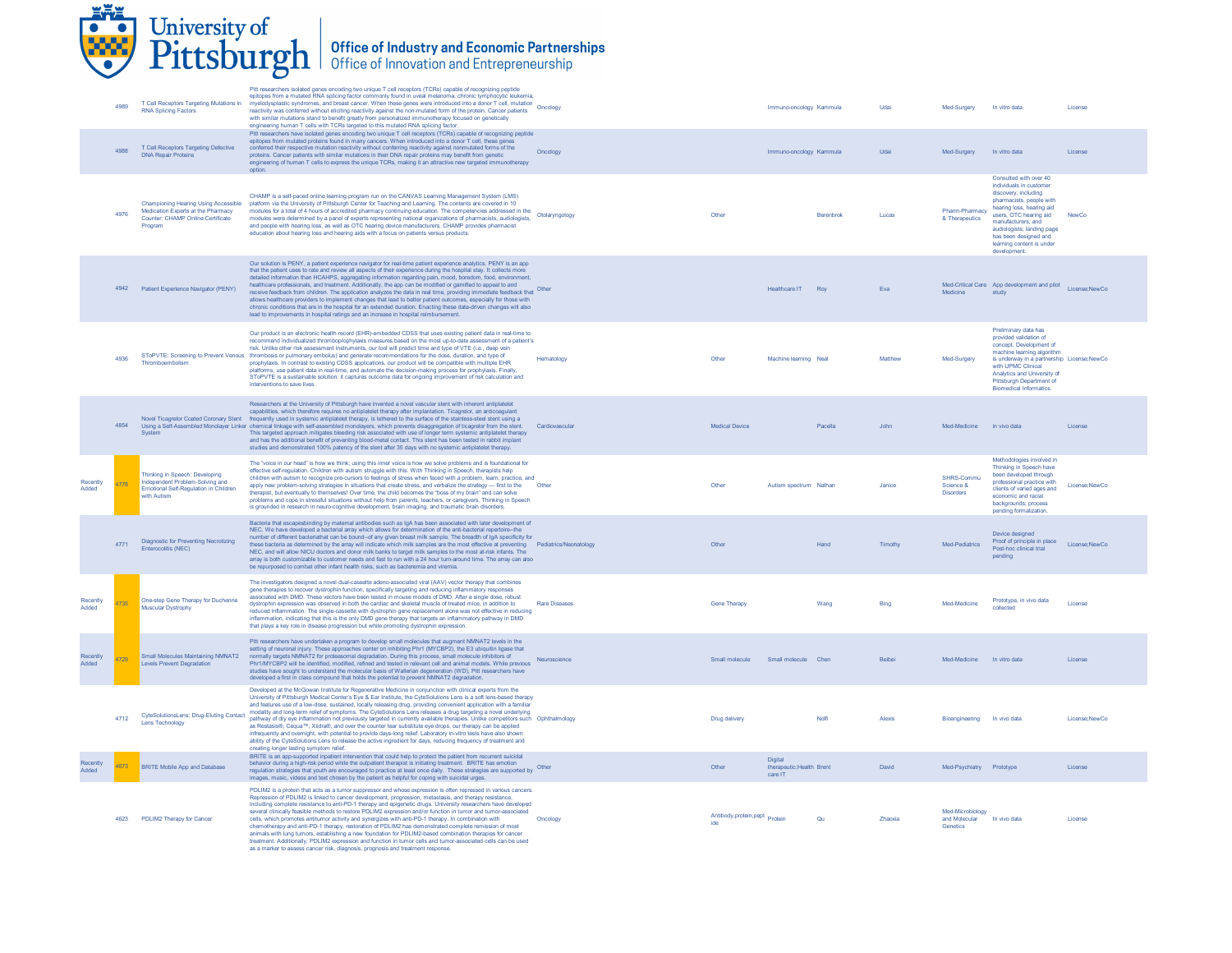

|                   | 4989 | T Cell Receptors Targeting Mutations in<br><b>RNA Splicing Factors</b>                                                            | Pitt researchers isolated genes encoding two unique T cell receptors (TCRs) capable of recognizing peptide<br>epitopes from a mutated RNA splicing factor commonly found in uveal melanoma, chronic lymphocytic leukemia<br>myelodysplastic syndromes, and breast cancer. When these genes were introduced into a donor T cell, mutation<br>myelodysplastic syndromes, and breast cancer. When these genes were introduced into a donor T cell, mutation<br>reactivity was conferred without eliciting reactivity against the non-mutated form of the protein. Cancer patients<br>with similar mutations stand to benefit greatly from personalized immunotherapy focused on genetically<br>engineering human T cells with TCRs targeted to this mutated RNA splicing factor.                                                                                                                                                                                                                                 |                      |                                    | Immuno-oncology Kammula                         |              | Udai          | Med-Surgery                                   | In vitro data                                                                                                                                                                                                                                                                          | License        |
|-------------------|------|-----------------------------------------------------------------------------------------------------------------------------------|---------------------------------------------------------------------------------------------------------------------------------------------------------------------------------------------------------------------------------------------------------------------------------------------------------------------------------------------------------------------------------------------------------------------------------------------------------------------------------------------------------------------------------------------------------------------------------------------------------------------------------------------------------------------------------------------------------------------------------------------------------------------------------------------------------------------------------------------------------------------------------------------------------------------------------------------------------------------------------------------------------------|----------------------|------------------------------------|-------------------------------------------------|--------------|---------------|-----------------------------------------------|----------------------------------------------------------------------------------------------------------------------------------------------------------------------------------------------------------------------------------------------------------------------------------------|----------------|
|                   | 4988 | T Cell Receptors Targeting Defective<br><b>DNA Repair Proteins</b>                                                                | Pitt researchers have isolated genes encoding two unique T cell receptors (TCRs) capable of recognizing peptide<br>epitcoes from mutated proteins found in many cancers. When introduced into a donor T cell, these genes<br>conferred their respective mutation reactivity without conferring reactivity against nonmutated forms of the<br>proteins. Cancer patients with similar mutations in their DNA repair proteins may benefit from genetic<br>engineering of human T cells to express the unique TCRs, making it an attractive new targeted immunotherapy<br>ontion                                                                                                                                                                                                                                                                                                                                                                                                                                  | Oncology             |                                    | Immuno-oncology Kammula                         |              | Udai          | Med-Surgery                                   | In vitro data                                                                                                                                                                                                                                                                          | License        |
|                   | 4976 | <b>Championing Hearing Using Accessible</b><br>Medication Experts at the Pharmacy<br>Counter: CHAMP Online Certificate<br>Program | CHAMP is a self-paced online learning program run on the CANVAS Learning Management System (LMS)<br>platform via the University of Pittsburgh Center for Teaching and Learning. The contents are covered in 10<br>modules for a total of 4 hours of accredited pharmacy continuing education. The competencies addressed in the<br>modules were determined by a panel of experts representing national organizations of pharmacists, audiologists,<br>and people with hearing loss, as well as OTC hearing device manufacturers. CHAMP provides pharmacist<br>education about hearing loss and hearing aids with a focus on patients versus products.                                                                                                                                                                                                                                                                                                                                                         | Otolaryngology       | Other                              |                                                 | Berenbrok    | Lucas         | Pharm-Pharmacy<br>& Therapeutics              | Consulted with over 40<br>individuals in customer<br>discovery, including<br>pharmacists, people with<br>hearing loss, hearing aid<br>users, OTC hearing aid<br>manufacturers, and<br>audiologists; landing page<br>has been designed and<br>learning content is under<br>development. | NewCo          |
|                   |      | 4942 Patient Experience Navigator (PENY)                                                                                          | Our solution is PENY, a patient experience navigator for real-time patient experience analytics. PENY is an app<br>that the patient uses to rate and review all aspects of their experience during the hospital stay. It collects more<br>detailed information than HCAHPS, aggregating information regarding pain, mood, boredom, food, environment, healthcare professionals, and treatment. Additionally, the app can be modified or gamified to appeal to and<br>receive feedback from children. The application analyzes the data in real time, providing immediate feedback that Other<br>allows healthcare providers to implement changes that lead to better patient outcomes, especially for those with<br>chronic conditions that are in the hospital for an extended duration. Enacting these data-driven changes will also<br>lead to improvements in hospital ratings and an increase in hospital reimbursement.                                                                                 |                      |                                    | Healthcare IT Roy                               |              | Eva           | Medicine                                      | Med-Critical Care App development and pilot License; New Co<br>study                                                                                                                                                                                                                   |                |
|                   |      | Thromboembolism                                                                                                                   | Our product is an electronic health record (EHR)-embedded CDSS that uses existing patient data in real-time to<br>recommend individualized thromboprophylaxis measures based on the most up-to-date assessment of a patient's<br>risk. Unlike other risk assessment instruments, our tool will predict time and type of VTE (i.e., deep vein<br>SToPVTE: Screening to Prevent Venous thrombosis or pulmonary embolus) and generate recommendations for the dose, duration, and type of<br>prophylaxis. In contrast to existing CDSS applications, our product will be compatible with multiple EHR<br>platforms, use patient data in real-time, and automate the decision-making process for prophylaxis. Finally,<br>SToPVTE is a sustainable solution: it captures outcome data for ongoing improvement of risk calculation and<br>interventions to save lives.                                                                                                                                             | Hematology           | Other                              | Machine learning Neal                           |              | Matthew       | Med-Surgery                                   | Preliminary data has<br>provided validation of<br>concept. Development of<br>machine learning algorithm<br>is underway in a partnership License; NewCo<br>with UPMC Clinical<br>Analytics and University of<br>Pittsburgh Department of<br><b>Biomedical Informatics.</b>              |                |
|                   | 4854 |                                                                                                                                   | Researchers at the University of Pittsburgh have invented a novel vascular stent with inherent antiplatelet<br>capabilities, which therefore requires no antiplatelet therapy after implantation. Ticagrelor, an anticoagulant<br>Novel Ticagrelor Coated Coronary Stent frequently used in systemic antiplatelet therapy, is tethered to the surface of the stainless-steel stent using a<br>Using a Self-Assembled Monolayer Linker chemical linkage with self-assembled monolayers, which prevents disaggregation of ticagretor from the stent.<br>System Systemic antiplatelet therapy<br>and has the additional benefit of preventing blood-metal contact. This stent has been tested in rabbit implant<br>studies and demonstrated 100% patency of the stent after 35 days with no systemic antiplatelet therapy.                                                                                                                                                                                       | Cardiovascular       | Medical Device                     |                                                 | Pacella      | .lohn         | Med-Medicine in vivo data                     |                                                                                                                                                                                                                                                                                        | License        |
| Recently<br>Added | 778  | Thinking in Speech: Developing<br>Independent Problem-Solving and<br>Emotional Self-Regulation in Children<br>with Autism         | The "voice in our head" is how we think; using this inner voice is how we solve problems and is foundational for<br>effective self-regulation. Children with autism struggle with this. With Thinking in Speech, therapists help<br>children with autism to recognize pre-cursors to feelings of stress when faced with a problem, learn, practice, and<br>apply new problem-solving strategies in situations that create stress, and verbalize the strategy - first to the<br>therapist, but eventually to themselves! Over time, the child becomes the "boss of my brain" and can solve<br>problems and cope in stressful situations without help from parents, teachers, or caregivers. Thinking in Speech<br>is grounded in research in neuro-cognitive development, brain imaging, and traumatic brain disorders.                                                                                                                                                                                        | Other                | Other                              | Autism spectrum Nathan                          |              | <b>Janice</b> | SHRS-Commu<br>Science &<br><b>Disorders</b>   | Methodologies involved in<br>Thinking in Speech have<br>been developed through<br>professional practice with<br>clients of varied ages and<br>economic and racial<br>backgrounds; process<br>pending formalization                                                                     | License:NewCo  |
|                   | 4771 | Diagnostic for Preventing Necrotizing<br>Enterocolitis (NEC)                                                                      | Bacteria that escapesbinding by maternal antibodies such as IgA has been associated with later development of<br>NEC. We have developed a bacterial array which allows for determination of the anti-bacterial repertoire-the<br>number of different bacteriathat can be bound--of any given breast milk sample. The breadth of IgA specificity for<br>these bacteria as determined by the array will indicate which milk samples are the most effective at preventing Pediatrics/Neonatology<br>NEC, and will allow NICU doctors and donor milk banks to target milk samples to the most at-risk infants. The<br>array is both customizable to customer needs and fast to run with a 24 hour turn-around time. The array can also<br>be repurposed to combat other infant health risks, such as bacteremia and viremia.                                                                                                                                                                                      |                      | Other                              |                                                 | Hand         | Timothy       | Med-Pediatrics                                | Device designed<br>Proof of principle in place<br>Post-hoc clinical trial<br>pending                                                                                                                                                                                                   | License:NewCo  |
| Recently<br>Added | 1735 | One-step Gene Therapy for Duchenne<br>Muscular Dystrophy                                                                          | The investigators designed a novel dual-cassette adeno-associated viral (AAV) vector therapy that combines<br>gene therapies to recover dystrophin function, specifically targeting and reducing inflammatory responses<br>associated with DMD. These vectors have been tested in mouse models of DMD. After a single dose, robust<br>dystrophin expression was observed in both the cardiac and skeletal muscle of treated mice, in addition to<br>reduced inflammation. The single-cassette with dystrophin gene replacement alone was not effective in reducing<br>inflammation, indicating that this is the only DMD gene therapy that targets an inflammatory pathway in DMD<br>that plays a key role in disease progression but while promoting dystrophin expression.                                                                                                                                                                                                                                  | <b>Rare Diseases</b> | <b>Gene Therapy</b>                |                                                 | Wang         | Bing          | Med-Medicine                                  | Prototype, in vivo data<br>collected                                                                                                                                                                                                                                                   | License        |
| Recently<br>Added | 4729 | Small Molecules Maintaining NMNAT2<br><b>Levels Prevent Degradation</b>                                                           | Pitt researchers have undertaken a program to develop small molecules that augment NMNAT2 levels in the<br>setting of neuronal injury. These approaches center on inhibiting Phr1 (MYCBP2), the E3 ubiquitin ligase that<br>normally targets NMNAT2 for proteasomal degradation. During this process, small molecule inhibitors of<br>Phr1/MYCBP2 will be identified, modified, refined and tested in relevant cell and animal models. While previous<br>studies have sought to understand the molecular basis of Wallerian degeneration (WD), Pitt researchers have<br>developed a first in class compound that holds the potential to prevent NMNAT2 degradation.                                                                                                                                                                                                                                                                                                                                           | Neuroscience         | Small molecule Small molecule Chen |                                                 |              | <b>Beibei</b> | Med-Medicine In vitro data                    |                                                                                                                                                                                                                                                                                        | License        |
|                   | 4712 | CyteSolutionsLens: Drug-Eluting Contact<br>Lens Technology                                                                        | Developed at the McGowan Institute for Regenerative Medicine in conjunction with clinical experts from the<br>University of Pittsburgh Medical Center's Eye & Ear Institute, the CyteSolutions Lens is a soft lens-based therapy<br>and features use of a low-dose, sustained, locally releasing drug, providing convenient application with a familiar<br>modality and long-term relief of symptoms. The CyteSolutions Lens releases a drug targeting a novel underlying<br>pathway of dry eye inflammation not previously targeted in currently available therapies. Unlike competitors such Ophthalmology<br>as Restasis®, Cequa™, Xiidra®, and over the counter tear substitute eye drops, our therapy can be applied<br>infrequently and overnight, with potential to provide days-long relief. Laboratory in-vitro tests have also shown<br>ability of the CyteSolutions Lens to release the active ingredient for days, reducing frequency of treatment and<br>creating longer lasting symptom relief. |                      | Drug delivery                      |                                                 | <b>Nolfi</b> | Alexis        | Bioengineering In vivo data                   |                                                                                                                                                                                                                                                                                        | License: NewCo |
| Recently<br>Added | 4673 | <b>BRITE Mobile App and Database</b>                                                                                              | BRITE is an app-supported inpatient intervention that could help to protect the patient from recurrent suicidal<br>behavior during a high-risk period while the outpatient therapist is initiating treatment. BRITE has emotion<br>regulation strategies that youth are encouraged to practice at least once daily. These strategies are supported by Other<br>images, music, videos and text chosen by the patient as helpful for coping with suicidal urges.                                                                                                                                                                                                                                                                                                                                                                                                                                                                                                                                                |                      | Other                              | Digital<br>therapeutic: Health Brent<br>care IT |              | David         | Med-Psychiatry Prototype                      |                                                                                                                                                                                                                                                                                        | License        |
|                   |      | 4623 PDLIM2 Therapy for Cancer                                                                                                    | PDLIM2 is a protein that acts as a tumor suppressor and whose expression is often repressed in various cancers.<br>Repression of PDLIM2 is linked to cancer development, progression, metastasis, and therapy resistance,<br>including complete resistance to anti-PD-1 therapy and epigenetic drugs. University researchers have developed<br>several clinically feasible methods to restore PDLIM2 expression and/or function in tumor and tumor-associated<br>cells, which promotes antitumor activity and synergizes with anti-PD-1 therapy. In combination with<br>chemotherapy and anti-PD-1 therapy, restoration of PDLIM2 has demonstrated complete remission of most<br>animals with lung tumors, establishing a new foundation for PDLIM2-based combination therapies for cancer<br>treatment. Additionally, PDLIM2 expression and function in tumor cells and tumor associated cells can be used<br>as a marker to assess cancer risk, diagnosis, prognosis and treatment response                 | Oncology             | Antibody, protein, pept<br>Protein |                                                 | Qu           | Zhaoxia       | Med-Microbiology<br>and Molecular<br>Genetics | In vivo data                                                                                                                                                                                                                                                                           | License        |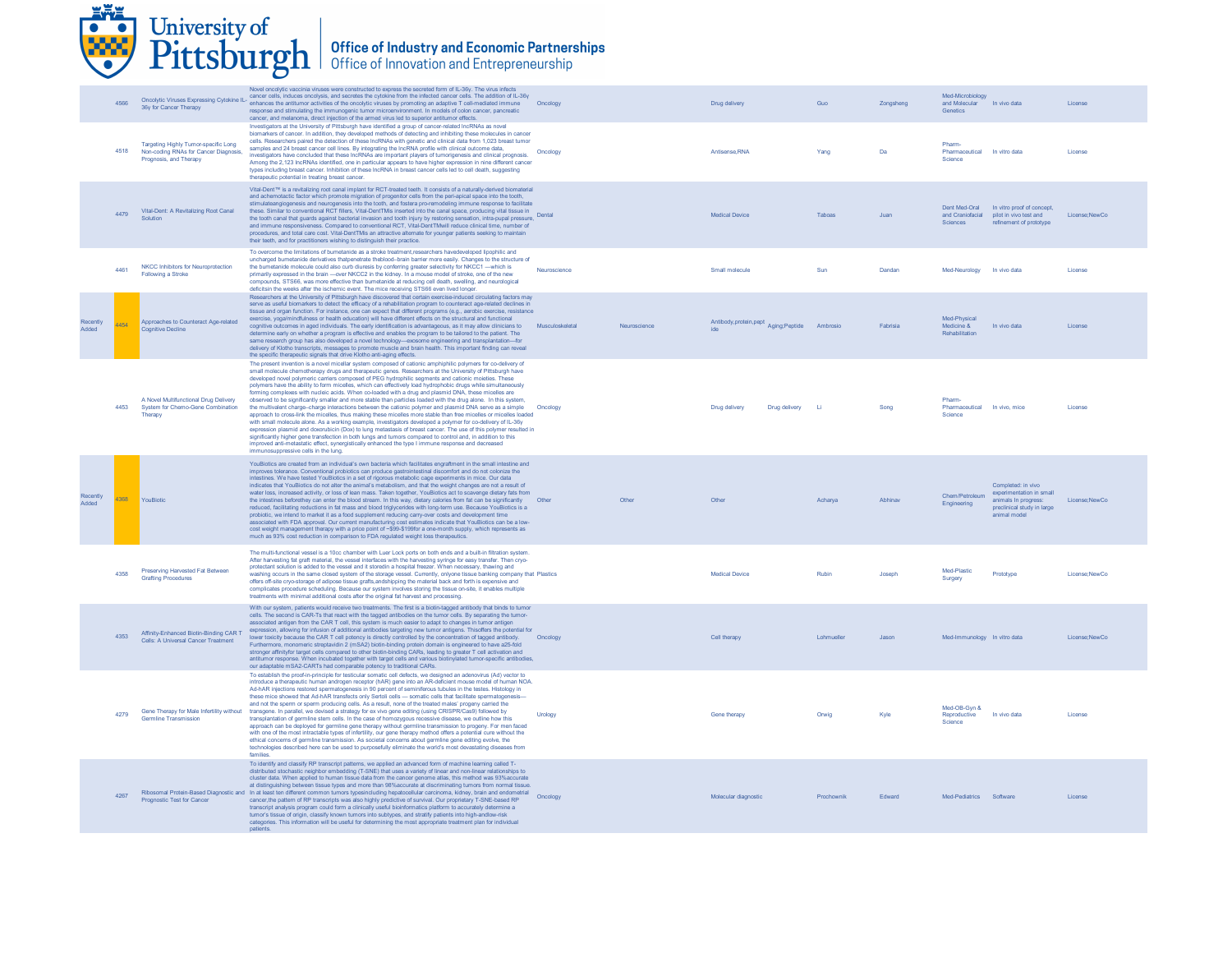|                   |      | University of<br>Pittsburgh                                                                             |                                                                                                                                                                                                                                                                         | <b>Office of Industry and Economic Partnerships</b><br>Office of Innovation and Entrepreneurship                                                                                                                                                                                                                                                                                                                                                                                                                                                                                                                                                                                                                                                                                                                                                                                                                                                                                                                                                                                                                                                                                                                                                                      |                 |              |                                                 |            |           |                                                   |                                                                                                                      |               |
|-------------------|------|---------------------------------------------------------------------------------------------------------|-------------------------------------------------------------------------------------------------------------------------------------------------------------------------------------------------------------------------------------------------------------------------|-----------------------------------------------------------------------------------------------------------------------------------------------------------------------------------------------------------------------------------------------------------------------------------------------------------------------------------------------------------------------------------------------------------------------------------------------------------------------------------------------------------------------------------------------------------------------------------------------------------------------------------------------------------------------------------------------------------------------------------------------------------------------------------------------------------------------------------------------------------------------------------------------------------------------------------------------------------------------------------------------------------------------------------------------------------------------------------------------------------------------------------------------------------------------------------------------------------------------------------------------------------------------|-----------------|--------------|-------------------------------------------------|------------|-----------|---------------------------------------------------|----------------------------------------------------------------------------------------------------------------------|---------------|
|                   | 4566 | 36y for Cancer Therapy                                                                                  | cancer, and melanoma, direct injection of the armed virus led to superior antitumor effects                                                                                                                                                                             | Novel oncolytic vaccinia viruses were constructed to express the secreted form of IL-36y. The virus infects<br>Oncolytic Viruses Expressing Cytokine IL- cancer cells, induces oncolysis, and secretes the cytokine from the infected cancer cells. The addition of IL-36y<br>enhances the antitumor activities of the oncolytic viruses by promoting an adaptive T cell-mediated immune<br>response and stimulating the immunogenic tumor microenvironment. In models of colon cancer, pancreatic                                                                                                                                                                                                                                                                                                                                                                                                                                                                                                                                                                                                                                                                                                                                                                    | Oncology        |              | Drug delivery                                   | Guo        | Zonashena | Med-Microbiology<br>and Molecular<br>Genetics     | In vivo data                                                                                                         | License       |
|                   | 4518 | Targeting Highly Tumor-specific Long<br>Non-coding RNAs for Cancer Diagnosis,<br>Prognosis, and Therapy | Investigators at the University of Pittsburgh have identified a group of cancer-related IncRNAs as novel<br>samples and 24 breast cancer cell lines. By integrating the IncRNA profile with clinical outcome data,<br>therapeutic potential in treating breast cancer.  | biomarkers of cancer. In addition, they developed methods of detecting and inhibiting these molecules in cancer<br>cells. Researchers paired the detection of these IncRNAs with genetic and clinical data from 1,023 breast tumor<br>investigators have concluded that these IncRNAs are important players of tumorigenesis and clinical prognosis.<br>Among the 2,123 IncRNAs identified, one in particular appears to have higher expression in nine different cancer<br>types including breast cancer. Inhibition of these IncRNA in breast cancer cells led to cell death, suggesting                                                                                                                                                                                                                                                                                                                                                                                                                                                                                                                                                                                                                                                                            | Oncology        |              | Antisense, RNA                                  | Yang       | Da        | Pharm<br>Pharmaceutical In vitro data<br>Science  |                                                                                                                      | License       |
|                   | 4479 | Vital-Dent: A Revitalizing Root Canal<br>Solution                                                       | their teeth, and for practitioners wishing to distinguish their practice.                                                                                                                                                                                               | Vital-Dent <sup>™</sup> is a revitalizing root canal implant for RCT-treated teeth. It consists of a naturally-derived biomaterial<br>and achemotactic factor which promote migration of progenitor cells from the peri-apical space into the tooth,<br>stimulateangiogenesis and neurogenesis into the tooth, and fostera pro-remodeling immune response to facilitate<br>these. Similar to conventional RCT fillers, Vital-DentTMis inserted into the canal space, producing vital tissue in<br>the tooth canal that guards against bacterial invasion and tooth injury by restoring sensation, intra-pupal pressure,<br>and immune responsiveness. Compared to conventional RCT, Vital-DentTMwill reduce clinical time, number of<br>procedures, and total care cost. Vital-DentTMis an attractive alternate for younger patients seeking to maintain                                                                                                                                                                                                                                                                                                                                                                                                              | Dental          |              | Medical Device                                  | Taboas     | Juan      | Sciences                                          | Dent Med-Oral In vitro proof of concept,<br>and Craniofacial pilot in vivo test and<br>refinement of prototype       | License:NewCo |
|                   | 4461 | NKCC Inhibitors for Neuroprotection<br><b>Following a Stroke</b>                                        | deficitsin the weeks after the ischemic event. The mice receiving STS66 even lived longer.                                                                                                                                                                              | To overcome the limitations of bumetanide as a stroke treatment, researchers havedeveloped lipophilic and<br>uncharged bumetanide derivatives thatpenetrate theblood-brain barrier more easily. Changes to the structure of<br>the bumetanide molecule could also curb diuresis by conferring greater selectivity for NKCC1-which is<br>primarily expressed in the brain - over NKCC2 in the kidney. In a mouse model of stroke, one of the new<br>compounds, STS66, was more effective than bumetanide at reducing cell death, swelling, and neurological                                                                                                                                                                                                                                                                                                                                                                                                                                                                                                                                                                                                                                                                                                            | Neuroscience    |              | Small molecule                                  | Sun        | Dandan    | Med-Neurology In vivo data                        |                                                                                                                      | License       |
| Recently<br>Added | 4454 | Approaches to Counteract Age-related<br><b>Cognitive Decline</b>                                        | the specific therapeutic signals that drive Klotho anti-aging effects.                                                                                                                                                                                                  | Researchers at the University of Pittsburgh have discovered that certain exercise-induced circulating factors may<br>serve as useful biomarkers to detect the efficacy of a rehabilitation program to counteract age-related declines in<br>tissue and organ function. For instance, one can expect that different programs (e.g., aerobic exercise, resistance<br>exercise, yoga/mindfulness or health education) will have different effects on the structural and functional<br>cognitive outcomes in aged individuals. The early identification is advantageous, as it may allow clinicians to<br>determine early on whether a program is effective and enables the program to be tailored to the patient. The<br>same research group has also developed a novel technology-exosome engineering and transplantation-for<br>delivery of Klotho transcripts, messages to promote muscle and brain health. This important finding can reveal                                                                                                                                                                                                                                                                                                                         | Musculoskeletal | Neuroscience | Antibody, protein, pept Aging; Peptide Ambrosio |            | Fabrisia  | Med-Physical<br>Medicine &<br>Rehabilitation      | In vivo data                                                                                                         | License       |
|                   | 4453 | A Novel Multifunctional Drug Delivery<br>System for Chemo-Gene Combination<br>Therapy                   | improved anti-metastatic effect, synergistically enhanced the type I immune response and decreased<br>immunosuppressive cells in the lung.                                                                                                                              | The present invention is a novel micellar system composed of cationic amphiphilic polymers for co-delivery of<br>small molecule chemotherapy drugs and therapeutic genes. Researchers at the University of Pittsburgh have<br>developed novel polymeric carriers composed of PEG hydrophilic segments and cationic moieties. These<br>polymers have the ability to form micelles, which can effectively load hydrophobic drugs while simultaneously<br>forming complexes with nucleic acids. When co-loaded with a drug and plasmid DNA, these micelles are<br>observed to be significantly smaller and more stable than particles loaded with the drug alone. In this system,<br>the multivalent charge-charge interactions between the cationic polymer and plasmid DNA serve as a simple<br>approach to cross-link the micelles, thus making these micelles more stable than free micelles or micelles loaded<br>with small molecule alone. As a working example, investigators developed a polymer for co-delivery of IL-36y<br>expression plasmid and doxorubicin (Dox) to lung metastasis of breast cancer. The use of this polymer resulted in<br>significantly higher gene transfection in both lungs and tumors compared to control and, in addition to this | Oncology        |              | Drug delivery<br>Drug delivery                  | - Li       | Song      | Pharm-<br>Pharmaceutical In vivo, mice<br>Science |                                                                                                                      | License       |
| Recently<br>Added | 4368 | YouBiotic                                                                                               | probiotic, we intend to market it as a food supplement reducing carry-over costs and development time<br>much as 93% cost reduction in comparison to FDA regulated weight loss therapeutics                                                                             | YouBiotics are created from an individual's own bacteria which facilitates engraftment in the small intestine and<br>improves tolerance. Conventional probiotics can produce gastrointestinal discomfort and do not colonize the<br>intestines. We have tested YouBiotics in a set of rigorous metabolic cage experiments in mice. Our data<br>indicates that YouBiotics do not alter the animal's metabolism, and that the weight changes are not a result of<br>water loss, increased activity, or loss of lean mass. Taken together, YouBiotics act to scavenge dietary fats from<br>the intestines beforethey can enter the blood stream. In this way, dietary calories from fat can be significantly Other<br>reduced, facilitating reductions in fat mass and blood triglycerides with long-term use. Because YouBiotics is a<br>associated with FDA approval. Our current manufacturing cost estimates indicate that YouBiotics can be a low-<br>cost weight management therapy with a price point of ~\$99-\$199for a one-month supply, which represents as                                                                                                                                                                                                   |                 | Other        | Other                                           | Acharva    | Abhinav   | Chem/Petroleum<br>Engineering                     | Completed: in vivo<br>experimentation in small<br>animals In progress:<br>preclinical study in large<br>animal model | License:NewCo |
|                   | 4358 | Preserving Harvested Fat Between<br><b>Grafting Procedures</b>                                          | treatments with minimal additional costs after the original fat harvest and processing                                                                                                                                                                                  | The multi-functional vessel is a 10cc chamber with Luer Lock ports on both ends and a built-in filtration system.<br>After harvesting fat graft material, the vessel interfaces with the harvesting syringe for easy transfer. Then cryo-<br>protectant solution is added to the vessel and it storedin a hospital freezer. When necessary, thawing and<br>washing occurs in the same closed system of the storage vessel. Currently, onlyone tissue banking company that Plastics<br>offers off-site cryo-storage of adipose tissue grafts, andshipping the material back and forth is expensive and<br>complicates procedure scheduling. Because our system involves storing the tissue on-site, it enables multiple                                                                                                                                                                                                                                                                                                                                                                                                                                                                                                                                                |                 |              | <b>Medical Device</b>                           | Rubin      | Joseph    | Med-Plastic<br>Surgery                            | Prototype                                                                                                            | License:NewCo |
|                   | 4353 | Affinity-Enhanced Biotin-Binding CAR T<br>Cells: A Universal Cancer Treatment                           | our adaptable mSA2-CARTs had comparable potency to traditional CARs.                                                                                                                                                                                                    | With our system, patients would receive two treatments. The first is a biotin-tagged antibody that binds to tumor<br>cells. The second is CAR-Ts that react with the tagged antibodies on the tumor cells. By separating the tumor-<br>associated antigen from the CAR T cell, this system is much easier to adapt to changes in tumor antigen<br>expression, allowing for infusion of additional antibodies targeting new tumor antigens. Thisoffers the potential for<br>lower toxicity because the CAR T cell potency is directly controlled by the concentration of tagged antibody.<br>Furthermore, monomeric streptavidin 2 (mSA2) biotin-binding protein domain is engineered to have a25-fold<br>stronger affinityfor target cells compared to other biotin-binding CARs, leading to greater T cell activation and<br>antitumor response. When incubated together with target cells and various biotinylated tumor-specific antibodies,                                                                                                                                                                                                                                                                                                                       | Oncology        |              | Cell therapy                                    | Lohmueller | Jason     | Med-Immunology In vitro data                      |                                                                                                                      | License:NewCo |
|                   | 4279 | <b>Germline Transmission</b>                                                                            | and not the sperm or sperm producing cells. As a result, none of the treated males' progeny carried the<br>Gene Therapy for Male Infertility without transgene. In parallel, we devised a strategy for ex vivo gene editing (using CRISPR/Cas9) followed by<br>families | To establish the proof-in-principle for testicular somatic cell defects, we designed an adenovirus (Ad) vector to<br>introduce a therapeutic human androgen receptor (hAR) gene into an AR-deficient mouse model of human NOA<br>Ad-hAR injections restored spermatogenesis in 90 percent of seminiferous tubules in the testes. Histology in<br>these mice showed that Ad-hAR transfects only Sertoli cells - somatic cells that facilitate spermatogenesis-<br>transplantation of germline stem cells. In the case of homozygous recessive disease, we outline how this<br>approach can be deployed for germline gene therapy without germline transmission to progeny. For men faced<br>with one of the most intractable types of infertility, our gene therapy method offers a potential cure without the<br>ethical concerns of germline transmission. As societal concerns about germline gene editing evolve, the<br>technologies described here can be used to purposefully eliminate the world's most devastating diseases from                                                                                                                                                                                                                              | Urology         |              | Gene therapy                                    | Orwig      | Kyle      | Med-OB-Gyn &<br>Reproductive<br>Science           | In vivo data                                                                                                         | License       |
|                   | 4267 | Prognostic Test for Cancer                                                                              | tumor's tissue of origin, classify known tumors into subtypes, and stratify patients into high-andlow-risk<br>patients.                                                                                                                                                 | To identify and classify RP transcript patterns, we applied an advanced form of machine learning called T-<br>distributed stochastic neighbor embedding (T-SNE) that uses a variety of linear and non-linear relationships to<br>cluster data. When applied to human tissue data from the cancer genome atlas, this method was 93% accurate<br>at distinguishing between tissue types and more than 98% accurate at discriminating tumors from normal tissue.<br>Ribosomal Protein-Based Diagnostic and In at least ten different common tumors typesincluding hepatocellular carcinoma, kidney, brain and endometrial<br>cancer, the pattern of RP transcripts was also highly predictive of survival. Our proprietary T-SNE-based RP<br>transcript analysis program could form a clinically useful bioinformatics platform to accurately determine a<br>categories. This information will be useful for determining the most appropriate treatment plan for individual                                                                                                                                                                                                                                                                                              | Oncology        |              | Molecular diagnostic                            | Prochownik | Edward    | Med-Pediatrics Software                           |                                                                                                                      | License       |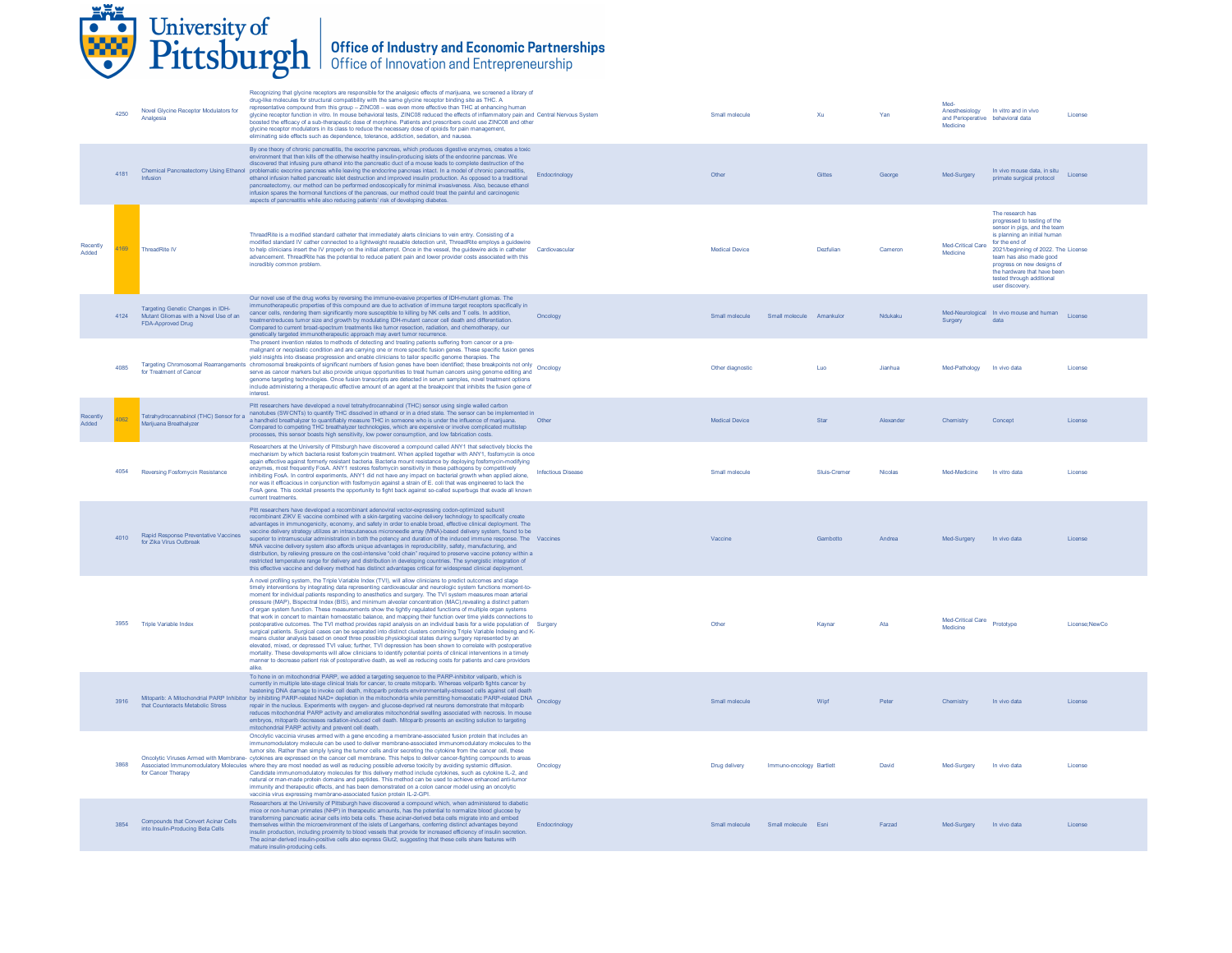

|                   | 4250 | Novel Glycine Receptor Modulators for<br>Analgesia                                              | Recognizing that glycine receptors are responsible for the analgesic effects of marijuana, we screened a library of<br>drug-like molecules for structural compatibility with the same glycine receptor binding site as THC. A<br>representative compound from this group - ZINC08 - was even more effective than THC at enhancing human<br>glycine receptor function in vitro. In mouse behavioral tests, ZINC08 reduced the effects of inflammatory pain and Central Nervous System<br>boosted the efficacy of a sub-therapeutic dose of morphine. Patients and prescribers could use ZINC08 and other<br>glycine receptor modulators in its class to reduce the necessary dose of opioids for pain management,<br>eliminating side effects such as dependence, tolerance, addiction, sedation, and nausea.                                                                                                                                                                                                                                                                                                                                                                                                                                                                                                                                                                                                                                    |                           | Small molecule                     | Xu                       | Yan       | Med-<br>and Perioperative behavioral data<br>Medicine | Anesthesiology In vitro and in vivo                                                                                                                                                                                                                                                                               | License       |
|-------------------|------|-------------------------------------------------------------------------------------------------|-------------------------------------------------------------------------------------------------------------------------------------------------------------------------------------------------------------------------------------------------------------------------------------------------------------------------------------------------------------------------------------------------------------------------------------------------------------------------------------------------------------------------------------------------------------------------------------------------------------------------------------------------------------------------------------------------------------------------------------------------------------------------------------------------------------------------------------------------------------------------------------------------------------------------------------------------------------------------------------------------------------------------------------------------------------------------------------------------------------------------------------------------------------------------------------------------------------------------------------------------------------------------------------------------------------------------------------------------------------------------------------------------------------------------------------------------|---------------------------|------------------------------------|--------------------------|-----------|-------------------------------------------------------|-------------------------------------------------------------------------------------------------------------------------------------------------------------------------------------------------------------------------------------------------------------------------------------------------------------------|---------------|
|                   | 4181 |                                                                                                 | By one theory of chronic pancreatitis, the exocrine pancreas, which produces digestive enzymes, creates a toxic<br>environment that then kills off the otherwise healthy insulin-producing islets of the endocrine pancreas. We<br>discovered that infusing pure ethanol into the pancreatic duct of a mouse leads to complete destruction of the<br>Chemical Pancreatectomy Using Ethanol problematic exocrine pancreas while leaving the endocrine pancreas intact. In a model of chronic pancreatitis,<br>ethanol infusion halted pancreatic islet destruction and improved insulin production. As opposed to a traditional<br>pancreatectomy, our method can be performed endoscopically for minimal invasiveness. Also, because ethanol<br>infusion spares the hormonal functions of the pancreas, our method could treat the painful and carcinogenic<br>aspects of pancreatitis while also reducing patients' risk of developing diabetes.                                                                                                                                                                                                                                                                                                                                                                                                                                                                                               | Endocrinology             | Other                              | Gittes                   | George    | Med-Surgery                                           | In vivo mouse data, in situ<br>primate surgical protocol                                                                                                                                                                                                                                                          | License       |
| Recently<br>Added | 1169 | <b>ThreadRite IV</b>                                                                            | ThreadRite is a modified standard catheter that immediately alerts clinicians to vein entry. Consisting of a<br>modified standard IV cather connected to a lightweight reusable detection unit, ThreadRite employs a guidewire<br>to help clinicians insert the IV properly on the initial attempt. Once in the vessel, the guidewire aids in catheter<br>advancement. ThreadRite has the potential to reduce patient pain and lower provider costs associated with this<br>incredibly common problem.                                                                                                                                                                                                                                                                                                                                                                                                                                                                                                                                                                                                                                                                                                                                                                                                                                                                                                                                          | Cardiovascular            | <b>Medical Device</b>              | Dezfuliar                | Camero    | Med-Critical Care<br>Medicine                         | The research has<br>progressed to testing of the<br>sensor in pigs, and the team<br>is planning an initial human<br>for the end of<br>2021/beginning of 2022. The License<br>team has also made good<br>progress on new designs of<br>the hardware that have been<br>tested through additional<br>user discovery. |               |
|                   | 4124 | Targeting Genetic Changes in IDH-<br>Mutant Gliomas with a Novel Use of an<br>FDA-Approved Drug | Our novel use of the drug works by reversing the immune-evasive properties of IDH-mutant gliomas. The<br>notherapeutic properties of this compound are due to activation of immune target receptors specifically in<br>cancer cells, rendering them significantly more susceptible to killing by NK cells and T cells. In addition,<br>treatmentreduces tumor size and growth by modulating IDH-mutant cancer cell death and differentiation.<br>Compared to current broad-spectrum treatments like tumor resection, radiation, and chemotherapy, our<br>genetically targeted immunotherapeutic approach may avert tumor recurrence.                                                                                                                                                                                                                                                                                                                                                                                                                                                                                                                                                                                                                                                                                                                                                                                                            | Oncology                  | Small molecule                     | Small molecule Amankulor | Ndukaku   | Surgery                                               | Med-Neurological In vivo mouse and human License<br>data                                                                                                                                                                                                                                                          |               |
|                   | 4085 | for Treatment of Cancer                                                                         | The present invention relates to methods of detecting and treating patients suffering from cancer or a pre-<br>malignant or neoplastic condition and are carrying one or more specific fusion genes. These specific fusion genes<br>yield insights into disease progression and enable clinicians to tailor specific genome therapies. The<br>Targeting Chromosomal Rearrangements chromosomal breakpoints of significant numbers of fusion genes have been identified; these breakpoints not only Oncology<br>serve as cancer markers but also provide unique opportunities to treat human cancers using genome editing and<br>genome targeting technologies. Once fusion transcripts are detected in serum samples, novel treatment options<br>include administering a therapeutic effective amount of an agent at the breakpoint that inhibits the fusion gene of<br>interest.                                                                                                                                                                                                                                                                                                                                                                                                                                                                                                                                                               |                           | Other diagnostic                   | Luo                      | Jianhua   | Med-Pathology In vivo data                            |                                                                                                                                                                                                                                                                                                                   | License       |
| Recently<br>Added | 4062 | Tetrahydrocannabinol (THC) Sensor for a<br>Marijuana Breathalyzer                               | Pitt researchers have developed a novel tetrahydrocannabinol (THC) sensor using single walled carbon<br>nanotubes (SWCNTs) to quantify THC dissolved in ethanol or in a dried state. The sensor can be implemented in<br>a handheld breathalyzer to quantifiably measure THC in someone who is under the influence of marijuana.<br>Compared to competing THC breathalyzer technologies, which are expensive or involve complicated multistep<br>processes, this sensor boasts high sensitivity, low power consumption, and low fabrication costs                                                                                                                                                                                                                                                                                                                                                                                                                                                                                                                                                                                                                                                                                                                                                                                                                                                                                               | Other                     | <b>Medical Device</b>              | Star                     | Alexander | Chemistry                                             | Concept                                                                                                                                                                                                                                                                                                           | License       |
|                   | 4054 | Reversing Fosfomycin Resistance                                                                 | Researchers at the University of Pittsburgh have discovered a compound called ANY1 that selectively blocks the<br>mechanism by which bacteria resist fosfomycin treatment. When applied together with ANY1, fosfomycin is once<br>again effective against formerly resistant bacteria. Bacteria mount resistance by deploying fosfomycin-modifying<br>enzymes, most frequently FosA. ANY1 restores fosfomycin sensitivity in these pathogens by competitively<br>inhibiting FosA. In control experiments, ANY1 did not have any impact on bacterial growth when applied alone,<br>nor was it efficacious in conjunction with fosfomycin against a strain of E, coli that was engineered to lack the<br>FosA gene. This cocktail presents the opportunity to fight back against so-called superbugs that evade all known<br>current treatments                                                                                                                                                                                                                                                                                                                                                                                                                                                                                                                                                                                                   | <b>Infectious Disease</b> | Small molecule                     | Sluis-Cremer             | Nicolas   | Med-Medicine                                          | In vitro data                                                                                                                                                                                                                                                                                                     | License       |
|                   | 4010 | Rapid Response Preventative Vaccines<br>for Zika Virus Outbreak                                 | Pitt researchers have developed a recombinant adenoviral vector-expressing codon-optimized subunit<br>recombinant ZIKV E vaccine combined with a skin-targeting vaccine delivery technology to specifically create<br>advantages in immunogenicity, economy, and safety in order to enable broad, effective clinical deployment. The<br>vaccine delivery strategy utilizes an intracutaneous microneedle array (MNA)-based delivery system, found to be<br>superior to intramuscular administration in both the potency and duration of the induced immune response. The Vaccines<br>MNA vaccine delivery system also affords unique advantages in reproducibility, safety, manufacturing, and<br>distribution, by relieving pressure on the cost-intensive "cold chain" required to preserve vaccine potency within a<br>restricted temperature range for delivery and distribution in developing countries. The synergistic integration of<br>this effective vaccine and delivery method has distinct advantages critical for widespread clinical deployment.                                                                                                                                                                                                                                                                                                                                                                                 |                           | Vaccine                            | Gambotto                 | Andrea    | Med-Surgery                                           | In vivo data                                                                                                                                                                                                                                                                                                      | License       |
|                   | 3955 | Triple Variable Index                                                                           | A novel profiling system, the Triple Variable Index (TVI), will allow clinicians to predict outcomes and stage<br>timely interventions by integrating data representing cardiovascular and neurologic system functions moment-to-<br>moment for individual patients responding to anesthetics and surgery. The TVI system measures mean arterial<br>pressure (MAP), Bispectral Index (BIS), and minimum alveolar concentration (MAC), revealing a distinct pattern<br>of organ system function. These measurements show the tightly regulated functions of multiple organ systems<br>that work in concert to maintain homeostatic balance, and mapping their function over time yields connections to<br>postoperative outcomes. The TVI method provides rapid analysis on an individual basis for a wide population of Surgery<br>surgical patients. Surgical cases can be separated into distinct clusters combining Triple Variable Indexing and K-<br>means cluster analysis based on oneof three possible physiological states during surgery represented by an<br>elevated, mixed, or depressed TVI value; further, TVI depression has been shown to correlate with postoperative<br>mortality. These developments will allow clinicians to identify potential points of clinical interventions in a timely<br>manner to decrease patient risk of postoperative death, as well as reducing costs for patients and care providers<br>alike |                           | Other                              | Kaynar                   | Ata       | Med-Critical Care Prototype<br>Medicine               |                                                                                                                                                                                                                                                                                                                   | License:NewCo |
|                   | 3916 | that Counteracts Metabolic Stress                                                               | To hone in on mitochondrial PARP, we added a targeting sequence to the PARP-inhibitor veliparib, which is<br>currently in multiple late-stage clinical trials for cancer, to create mitoparib. Whereas veliparib fights cancer by<br>hastening DNA damage to invoke cell death, mitoparib protects environmentally-stressed cells against cell death<br>Mitoparib: A Mitochondrial PARP Inhibitor by inhibiting PARP-related NAD+ depletion in the mitochondria while permitting homeostatic PARP-related DNA Oncology<br>repair in the nucleus. Experiments with oxygen- and glucose-deprived rat neurons demonstrate that mitoparib<br>reduces mitochondrial PARP activity and ameliorates mitochondrial swelling associated with necrosis. In mouse<br>embryos, mitoparib decreases radiation-induced cell death. Mitoparib presents an exciting solution to targeting<br>mitochondrial PARP activity and prevent cell death.                                                                                                                                                                                                                                                                                                                                                                                                                                                                                                                |                           | Small molecule                     | Wipf                     | Peter     | Chemistry                                             | In vivo data                                                                                                                                                                                                                                                                                                      | License       |
|                   | 3868 | for Cancer Therapy                                                                              | Oncolytic vaccinia viruses armed with a gene encoding a membrane-associated fusion protein that includes an<br>immunomodulatory molecule can be used to deliver membrane-associated immunomodulatory molecules to the<br>tumor site. Rather than simply lysing the tumor cells and/or secreting the cytokine from the cancer cell, these<br>Oncolytic Viruses Armed with Membrane- cytokines are expressed on the cancer cell membrane. This helps to deliver cancer-fighting compounds to areas<br>Associated Immunomodulatory Molecules where they are most needed as well as reducing possible adverse toxicity by avoiding systemic diffusion.<br>Candidate immunomodulatory molecules for this delivery method include cytokines, such as cytokine IL-2, and<br>natural or man-made protein domains and peptides. This method can be used to achieve enhanced anti-tumor<br>immunity and therapeutic effects, and has been demonstrated on a colon cancer model using an oncolvtic<br>vaccinia virus expressing membrane-associated fusion protein IL-2-GPI.                                                                                                                                                                                                                                                                                                                                                                               | Oncology                  | Drug delivery                      | Immuno-oncology Bartlett | David     | Med-Surgery                                           | In vivo data                                                                                                                                                                                                                                                                                                      | License       |
|                   | 3854 | Compounds that Convert Acinar Cells<br>into Insulin-Producing Beta Cells                        | Researchers at the University of Pittsburgh have discovered a compound which, when administered to diabetic<br>mice or non-human primates (NHP) in therapeutic amounts, has the potential to normalize blood glucose by<br>transforming pancreatic acinar cells into beta cells. These acinar-derived beta cells migrate into and embed<br>themselves within the microenvironment of the islets of Langerhans, conferring distinct advantages beyond<br>insulin production, including proximity to blood vessels that provide for increased efficiency of insulin secretion<br>The acinar-derived insulin-positive cells also express Glut2, suggesting that these cells share features with<br>mature insulin-producing cells.                                                                                                                                                                                                                                                                                                                                                                                                                                                                                                                                                                                                                                                                                                                 | Endocrinology             | Small molecule Small molecule Esni |                          | Farzad    | Med-Surgery In vivo data                              |                                                                                                                                                                                                                                                                                                                   | License       |